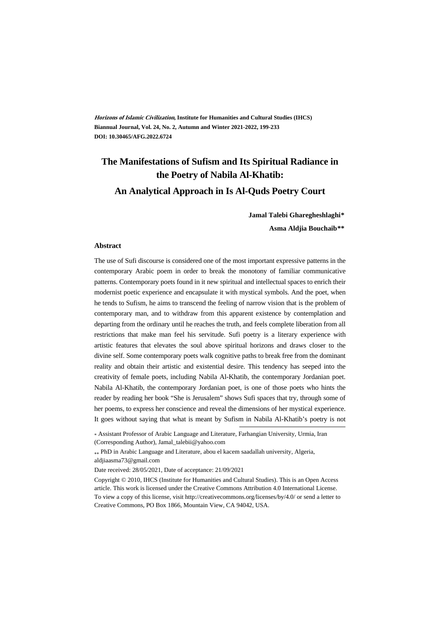**Horizons of Islamic Civilization, Institute for Humanities and Cultural Studies (IHCS) Biannual Journal, Vol. 24, No. 2, Autumn and Winter 2021-2022, 199-233 DOI: 10.30465/AFG.2022.6724**

### **The Manifestations of Sufism and Its Spiritual Radiance in the Poetry of Nabila Al-Khatib: An Analytical Approach in Is Al-Quds Poetry Court**

**Jamal Talebi Gharegheshlaghi\***

**Asma Aldjia Bouchaib†\*\***

#### **Abstract**

The use of Sufi discourse is considered one of the most important expressive patterns in the contemporary Arabic poem in order to break the monotony of familiar communicative patterns. Contemporary poets found in it new spiritual and intellectual spaces to enrich their modernist poetic experience and encapsulate it with mystical symbols. And the poet, when he tends to Sufism, he aims to transcend the feeling of narrow vision that is the problem of contemporary man, and to withdraw from this apparent existence by contemplation and departing from the ordinary until he reaches the truth, and feels complete liberation from all restrictions that make man feel his servitude. Sufi poetry is a literary experience with artistic features that elevates the soul above spiritual horizons and draws closer to the divine self. Some contemporary poets walk cognitive paths to break free from the dominant reality and obtain their artistic and existential desire. This tendency has seeped into the creativity of female poets, including Nabila Al-Khatib, the contemporary Jordanian poet. Nabila Al-Khatib, the contemporary Jordanian poet, is one of those poets who hints the reader by reading her book "She is Jerusalem" shows Sufi spaces that try, through some of her poems, to express her conscience and reveal the dimensions of her mystical experience. It goes without saying that what is meant by Sufism in Nabila Al-Khatib's poetry is not

\* Assistant Professor of Arabic Language and Literature, Farhangian University, Urmia, Iran (Corresponding Author), Jamal\_talebii@yahoo.com

 PhD in Arabic Language and Literature, abou el kacem saadallah university, Algeria, aldjiaasma73@gmail.com

Date received: 28/05/2021, Date of acceptance: 21/09/2021

Copyright © 2010, IHCS (Institute for Humanities and Cultural Studies). This is an Open Access article. This work is licensed under the Creative Commons Attribution 4.0 International License. To view a copy of this license, visit http://creativecommons.org/licenses/by/4.0/ or send a letter to Creative Commons, PO Box 1866, Mountain View, CA 94042, USA.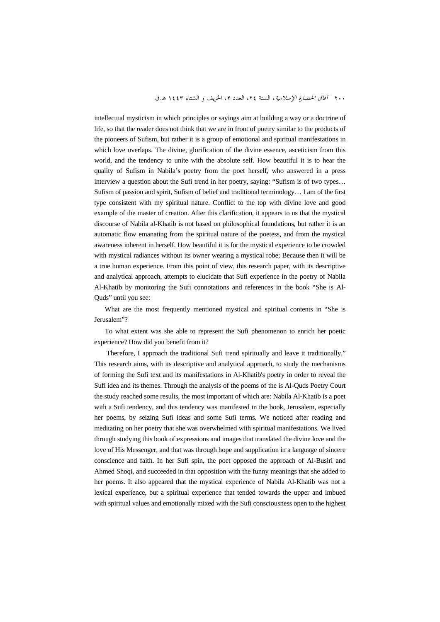intellectual mysticism in which principles or sayings aim at building a way or a doctrine of life, so that the reader does not think that we are in front of poetry similar to the products of the pioneers of Sufism, but rather it is a group of emotional and spiritual manifestations in which love overlaps. The divine, glorification of the divine essence, asceticism from this world, and the tendency to unite with the absolute self. How beautiful it is to hear the quality of Sufism in Nabila's poetry from the poet herself, who answered in a press interview a question about the Sufi trend in her poetry, saying: "Sufism is of two types… Sufism of passion and spirit, Sufism of belief and traditional terminology… I am of the first type consistent with my spiritual nature. Conflict to the top with divine love and good example of the master of creation. After this clarification, it appears to us that the mystical discourse of Nabila al-Khatib is not based on philosophical foundations, but rather it is an automatic flow emanating from the spiritual nature of the poetess, and from the mystical awareness inherent in herself. How beautiful it is for the mystical experience to be crowded with mystical radiances without its owner wearing a mystical robe; Because then it will be a true human experience. From this point of view, this research paper, with its descriptive and analytical approach, attempts to elucidate that Sufi experience in the poetry of Nabila Al-Khatib by monitoring the Sufi connotations and references in the book "She is Al-Quds" until you see:

What are the most frequently mentioned mystical and spiritual contents in "She is Jerusalem"?

To what extent was she able to represent the Sufi phenomenon to enrich her poetic experience? How did you benefit from it?

 Therefore, I approach the traditional Sufi trend spiritually and leave it traditionally." This research aims, with its descriptive and analytical approach, to study the mechanisms of forming the Sufi text and its manifestations in Al-Khatib's poetry in order to reveal the Sufi idea and its themes. Through the analysis of the poems of the is Al-Quds Poetry Court the study reached some results, the most important of which are: Nabila Al-Khatib is a poet with a Sufi tendency, and this tendency was manifested in the book, Jerusalem, especially her poems, by seizing Sufi ideas and some Sufi terms. We noticed after reading and meditating on her poetry that she was overwhelmed with spiritual manifestations. We lived through studying this book of expressions and images that translated the divine love and the love of His Messenger, and that was through hope and supplication in a language of sincere conscience and faith. In her Sufi spin, the poet opposed the approach of Al-Busiri and Ahmed Shoqi, and succeeded in that opposition with the funny meanings that she added to her poems. It also appeared that the mystical experience of Nabila Al-Khatib was not a lexical experience, but a spiritual experience that tended towards the upper and imbued with spiritual values and emotionally mixed with the Sufi consciousness open to the highest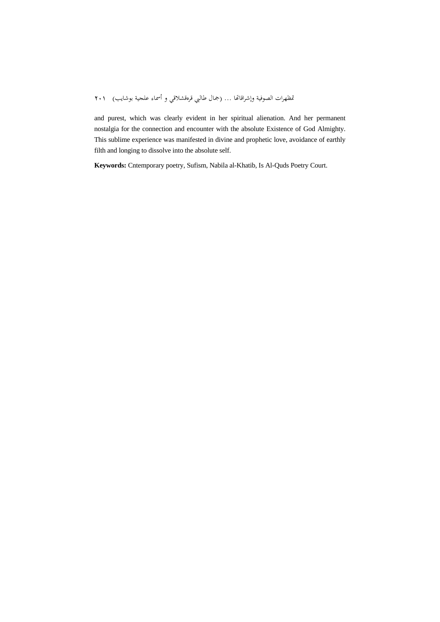and purest, which was clearly evident in her spiritual alienation. And her permanent nostalgia for the connection and encounter with the absolute Existence of God Almighty. This sublime experience was manifested in divine and prophetic love, avoidance of earthly filth and longing to dissolve into the absolute self.

**Keywords:** Cntemporary poetry, Sufism, Nabila al-Khatib, Is Al-Quds Poetry Court.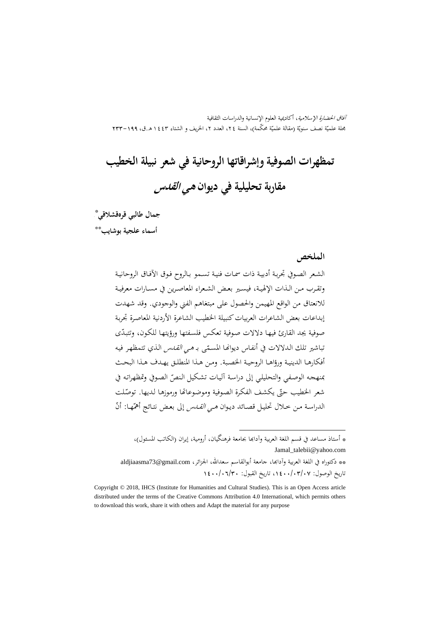آفاق الحضارة الإسلامية، أكاديمية العلوم الإنسانية والدراسات الثقافية بحلة علميّة نصف سنويّة (مقالة علميّة محکّمة)، السنة ٢٤، العدد ٢، الخريف و الشتاء ١٤٤٣ هـ.ق، ١٩٩–٢٣٣<br>مجلة علميّة نصف سنويّة (مقالة علميّة محکّمة)، السنة ٢٤، العدد ٢، الخريف و الشتاء ٤٤٣

# **تمظهرات الصوفية وإشراقاتها الروحانية في شعر نبيلة الخطيب مقاربة تحليلية في ديوان هي القدس**

\* **جمال طالبي قرهقشلاقي**

\*\* **أسماء علجية بوشايب**

**الملخص**

الشـعر الصـوفي تجربـة أدبيـة ذات سمـات فنيـة تسـمو بـالروح فـوق الآفـاق الروحانيـة وتقــرب مــن الــذات الإلهيــة، فيســير بعــض الشــعراء المعاصــرين في مســارات معرفيــة للانعتاق من الواقع المهيمن والحصول على مبتغاهم الفني والوجودي. وقد شهدت إبداعات بعض الشاعرات العربيات كنبيلة الخطيب الشاعرة الأردنية المعاصرة تجربة صوفية يجد القارئ فيهـا دلالات صـوفية تعكـس فلسـفتها ورؤيتهـا للكـون، ّ وتتبـدى تباشير تلك الـدلالات في أنفـاس ديوانهـا المسـمّى بـ *هـي القـدس* الـذي تتمظهـر فيـه<br>-أفكارهـا الدينيـة ورؤاهـا الروحيــة الخصـبة. ومـن هـذا المنطلــق يهـدف هـذا البحــث بمنهجه الوصفي والتحليلي إلى دراسة أليات تشكيل النصّ الصوفي وتمظهراته في شعر الخطيب حتّى يكشف الفكرة الصوفية وموضوعاتها ورموزها لديها. توصّلت الدراسة مـن حـلال تحليـل قصـائد ديـوان *هـي القــدس* إلى بعـض نتـائج أهمّهـا: أنّ

\* أستاذ مساعد في قسم اللغة العربية وآداđا بجامعة فرهنگيان، أرومية، إيران (الکاتب المسئول)، Jamal\_talebii@yahoo.com \*\* دكتوراه في اللغة العربية وآدابها، جامعة أبوالقاسم سعدالله، الجزائر، aldjiaasma73@gmail.com

.

تاريخ الوصول: ،1400/03/07 تاريخ القبول: 1400/06/30

Copyright © 2018, IHCS (Institute for Humanities and Cultural Studies). This is an Open Access article distributed under the terms of the Creative Commons Attribution 4.0 International, which permits others to download this work, share it with others and Adapt the material for any purpose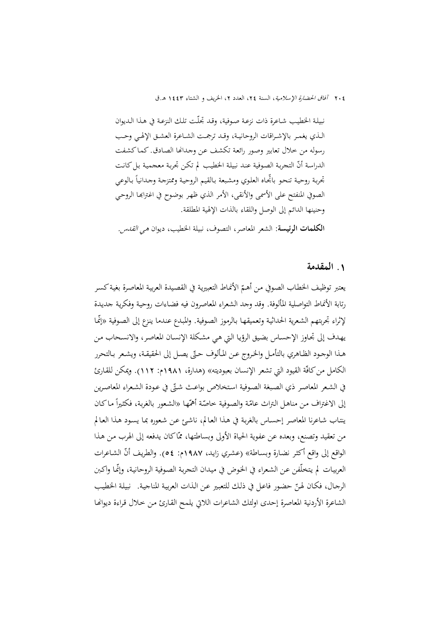نبيلـة الخطيـب شـاعرة ذات نزعـة صـوفية، وقـد تجلّـت تلـك النزعـة في هـذا الـديوان الــذي يغمــر بالإشــراقات الروحانيــة، وقــد ترجمــت الشــاعرة العشــق الإلهــي وحــب رسوله من خلال تعابير وصور رائعة تكشف عن وجدانها الصادق. كماكشفت الدراسة أنّ التجربة الصوفية عند نبيلة الخطيب لم تكن تجربة معجمية بل كانت تحربة روحية تنحو باتحاه العلوي ومشبعة بالقيم الروحية وممتزجة وجدانيأ بالوعي الصوفي المنفتح على الأسمى والأنقى، الأمر الذي ظهر بوضوح في اغتراها الروحي وحنينها الدائم إلى الوصل واللقاء بالذات الإلهية المطلقة.

**الکلمات الرئيسة:** الشعر المعاصر، التصوف، نبيلة الخطيب، ديوان هي القدس.

#### **.**1 **المقدمة**

يعتبر توظيف الخطاب الصوفي من أهـمّ الأنماط التعبيرية في القصيدة العربية المعاصرة بغية كسر رتابة الأنماط التواصلية المألوفة. وقد وجد الشعراء المعاصرون فيه فضـاءات روحيـة وفكريـة جديـدة لإثراء تجربتهم الشعرية الحداثية وتعميقهـا بـالرموز الصوفية. والمبدع عندما ينزع إلى الصوفية «إنّمـا يهـدف إلى تجـاوز الإحسـاس بضـيق الرؤيـا الـتي هـي مشـكلة الإنسـان المعاصـر، والانسـحاب مـن هـذا الوجـود الظـاهري بالتأمـل والخـروج عـن المـألوف حـتّى يصـل إلى الحقيقـة، ويشـعر بـالتحرر الكامل من كافّة القيود التي تشعر الإنسان بعبوديته» (هدارة، ١٩٨١م: ١١٢). ويمكن للقارئ في الشعر المعاصر ذي الصبغة الصوفية استخلاص بواعث شتّى في عودة الشعراء المعاصرين إلى الاغتراف من مناهل التراث عامّة والصوفية خاصّة أهمّها «الشعور بالغربة، فكثيراً ماكان ينتـاب شـاعرنا المعاصـر إحسـاس بالغربـة في هـذا العـالم، ناشـئ عـن شـعوره بمـا يسـود هـذا العـالم من تعقيد وتصنع، وبعده عن عفوية الحياة الأولى وبساطتها، ممّاكان يدفعه إلى الهرب من هذا الواقع إلى واقع أكثر نضارة وبساطة» (عشري زايد، ١٩٨٧م: ٥٤). والطريف أنّ الشاعرات العربيـات لم يتخلّفن عـن الشـعراء في الخوض في ميـدان التجربـة الصوفية الروحانيـة، وإنّمـا واكـبن الرجـال، فكـان لهـنّ حضـور فاعـل في ذلـك للتعبـير عـن الـذات العربيـة المناجيـة. نبيلـة الحطيب الشاعرة الأردنية المعاصرة إحدى اولئك الشاعرات اللاتي يلمح القارئ مـن خلال قراءة ديوانها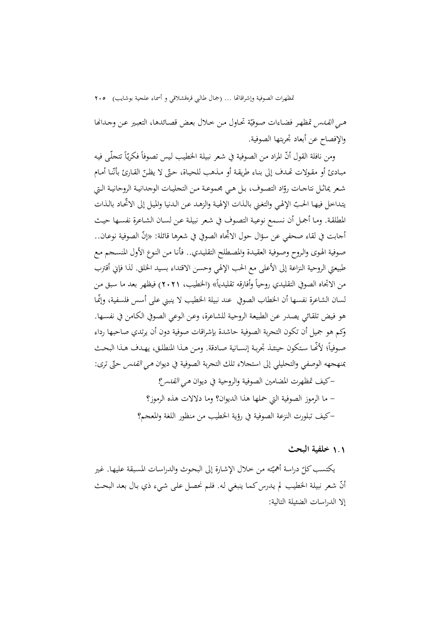*هي القــدس* تمظهر فضـاءات صوفيّة تحـاول من خـلال بعض قصـائدها، التعبير عـن وجـدانها والإفصاح عن أبعاد تجربتها الصوفية.

 $\overline{\phantom{a}}$ ومن نافلة القول أنّ المراد من الصوفية في شعر نبيلة الخطيب ليس تصوفاً فكريّاً تتحلّـى فيه مبـادئ أو مقـولات تحـدف إلى بنـاء طريقـة أو مـذهب للحيـاة، حتّى لا يظـنّ القـارئ بأنّنـا أمـام شـعر يماثـل نتاجــات روّاد التصـوف، بـل هـي مجموعـة مـن التجليــات الوجدانيـة الروحانيـة الـتي<br>ت يتداخل فيهـا الحـبّ الإلهي والتغني بالـذات الإلهية والزهـد عـن الـدنيا والميل إلى الاتحـاد بالـذات المطلقـة. ومـا أجمـل أن نسـمع نوعيـة التصـوف في شـعر نبيلـة عـن لسـان الشـاعرة نفسـها حيـث أجابت في لقاء صحفي عن سؤال حول الاتجاه الصوفي في شعرها قائلة: «إنّ الصوفية نوعـان.. صـوفية الهـوى والـروح وصـوفية العقيـدة والمصـطلح التقليـدي.. فأنـا مـن النـوع الأول المنسـجم مـع طبيعتي الروحية النزاعة إلى الأعلى مع الحب الإلهي وحسن الاقتداء بسيد الخلق. لذا فإني أقترب من الاتجاه الصوفي التقليدي روحياً وأفارقه تقليدياً» (الخطيب، ٢٠٢١) فيظهر بعد ما سبق من لسان الشاعرة نفسها أن الخطاب الصوفي عند نبيلة الخطيب لا ينبني على أسس فلسفية، ّوإنمـا هو فـيض تلقـائي يصـدر عـن الطبيعـة الروحيـة للشـاعرة، وعـن الـوعي الصـوفي الكـامن في نفسـها. وكم هو جميل أن تكون التجربة الصوفية حاشدة بإشراقات صوفية دون أن يرتدي صاحبها رداء صـوفياً؛ لأفّمـا ستكون حينئـذ تجربـة إنســانية صـادقة. ومـن هـذا المنطلـق، يهـدف هـذا البحـث بمنهجهه الوصفي والتحليلي إلى استجلاء تلك التجربة الصوفية في ديوان *هي القدس* حتّى ترى: -كيف تمظهرت المضامين الصوفية والروحية في ديوان هي القدس؟ - ما الرموز الصوفية التي حملها هذا الديوان؟ وما دلالات هذه الرموز؟ -کيف تبلورت النزعة الصوفية في رؤية الخطيب من منظور اللغة والمعجم؟

#### 1**.**1 **خلفية البحث**

يكتسب كلّ دراسة أهميّته من خلال الإشارة إلى البحوث والدراسات المسبقة عليها. غير أنّ شعر نبيلة الخطيب لم يدرس كما ينبغي له. فلم نحصل على شيءٍ ذي بال بعد البحث إلا الدراسات الضئيلة التالية: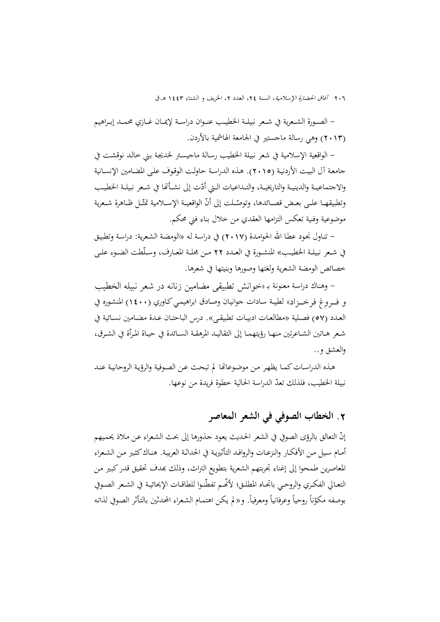- الصــورة الشــعرية في شــعر نبيلــة الخطيــب عنــوان دراســة لإيمــان غــازي محمــد إبــراهيم (2013) وهي رسالة ماجستير في الجامعة الهاشمية بالأردن.

- الواقعية الإسلامية في شعر نبيلة الخطيـب رسـالة ماجيسـتر لخديجـة بـني خالـد نوقشـت في جامعـة آل البيـت الأردنيـة (2015). هـذه الدراسـة حاولـت الوقـوف علـى المضـامين الإنسـانية والاجتماعيــة والدينيــة والتاريخيــة، والتــداعيات الــتي أدّت إلى نشــأقما في شـعر نبيلــة الخطيــب وتطبيقهـا علــى بعـض قصــائدها، وتوصّــلت إلى أنّ الواقعيــة الإســلامية تمثّــل ظــاهرة شـعرية موضوعية وفنية تعكس التزامها العقدي من خلال بناء فني محكم.

- تنـاول نجـود عطـا االله الحوامـدة (2017) في دراسـة لـه «الومضـة الشـعرية: دراسـة وتطبيـق في شــعر نبيلــة الخطيــب» المنشــورة في العــدد 22 مــن مجلــة المعــارف، وســلّطت الضــوء علــى خصائص الومضة الشعرية ولغتها وصورها وبنيتها في شعرها.

- وهنـاك دراسـة معنونـة بـ «خوانش تطبيقي مضامين زنانه در شعر نبيله الخطيب و فـروغ فرخـزاد» لطيبـة سـادات جوانيـان وصـادق ابراهيمـيكـاوري (1400) المنشـوره في العــدد (57) فصــلية «مطالعــات ادبيــات تطبيقــی». درس الباحتــان عــدة مضــامين نســائية في شــعر هــاتين الشــاعرتين منهــا رؤيتهمــا إلى التقاليــد المرهقــة الســائدة في حيــاة المــرأة في الشــرق، والعشق و..

هـذه الدراسـاتكمـا يظهـر مـن موضـوعاēا لم تبحـث عـن الصـوفية والرؤيـة الروحانيـة عنـد نبيلة الخطيب، فلذلك تعدّ الدراسة الحالية خطوة فريدة من نوعها.

# **.**2 **الخطاب الصوفي في الشعر المعاصر**

إنّ التعالق بالرؤى الصوفي في الشعر الحديث يعود جذورها إلى بحث الشعراء عن ملاذ يحميهم أمـام سـيل مـن الأفكـار والنزعـات والروافـد التأثيريـة في الحداثـة العربيـة. هنـاككثـير مـن الشـعراء المعاصرين طمحوا إلى إغناء تجربتهم الشعرية بتطويع التراث، وذلك بمدف تحقيق قدر كبير من التعـالي الفكـري والروحـي باتجـاه المطلـق؛ لأنَّفـم تفطُّنـوا للطاقـات الإيحائيـة في الشـعر الصـوفي بوصفه مكوّناً روحياً وعرفانياً ومعرفياً. و«لم يكن اهتمام الشعراء المحدثين بالتأثر الصوفي لذاته<br>.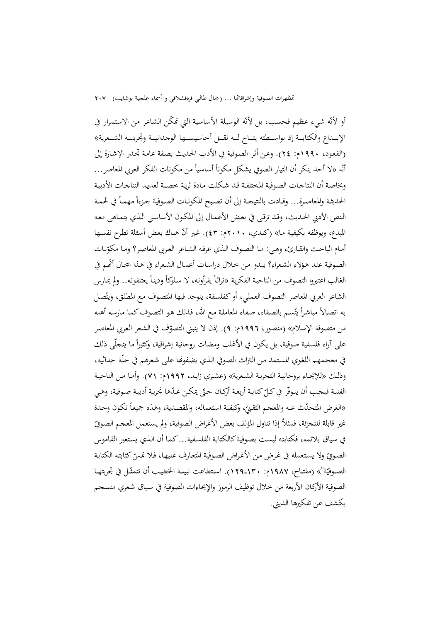أو لأنّه شيء عظيم فحسب، بل لأنّه الوسيلة الأساسية التي تمكّن الشاعر من الاستمرار في الإبـــداع والكتابـــة إذ بواســـطته يتـــاح لـــه نقـــل أحاسيســـها الوجدانيـــة وتجربتـــه الشـــعرية» (القعـود، 1990م: 24). وعـن أثـر الصـوفية في الأدب الحـديث بصـفة عامـة تجـدر الإشـارة إلى أنّه «لا أحد ينكر أن التيار الصوفي يشكل مكوناً أساسياً من مكونات الفكر العربي المعاصر… وبخاصـة أن النتاجـات الصـوفية المختلفـة قـد شـكلت مـادة ثريـة خصـبة لعديـد النتاجـات الأدبيـة الحديثـة والمعاصـرة... وقـادت بالنتيجـة إلى أن تصبح المكونـات الصـوفية جـزءاً مهمـاً في لحمـة الـنص الأدبي الحـديث، وقـد ترقـى في بعـض الأعمـال إلى المكـون الأساسـي الـذي يتمـاهى معـه المبدع، ويوظفه بكيفية ما» (كندي، ٢٠١٠م: ٤٣). غير أنّ هناك بعض أسئلة تطرح نفسها أمـام الباحـث والقـارئ، وهـي: مـا التصـوف الـذي عرفـه الشـاعر العـربي المعاصـر؟ ومـا مكوّنـات<br>. الصـوفية عنـد هـؤلاء الشـعراء؟ يبـدو مـن خـلال دراسـات أعمـال الشـعراء في هـذا اجملـال ّ أĔـم في الغالب اعتبروا التصوف من الناحية الفكرية «تراثًا يقرأونه، لا سلوكاً وديناً يعتنقونه.. ولم يمارس الشاعر العربي المعاصر التصوف العملي، أو كفلسفة، يتوحد فيها المتصوف مع المطلق، ويتّصل به اتصالاً مباشراً يتّسم بالصفاء، صفاء المعاملة مع الله، فذلك هو التصوف كما مارسه أهله من متصوفة الإسلام» (منصور، ١٩٩٦م: ٩). إذن لا ينبني التصوّف في الشعر العربي المعاصر<br>-على أراء فلسفية صوفية، بل يكون في الأغلب ومضات روحانية إشراقية، وكثيراً ما يتحلَّى ذلك في معجمهم اللغوي المستمد من التراث الصوفي الذي يضفوها على شعرهم في حلّة حداثية، وذلــك «للإيحــاء بروحانيــة التجربــة الشــعرية» (عشــري زايــد، 1992م: 71). وأمــا مــن الناحيــة الفنيـة فيحـب أن يتوفّر في كـلّ كتابـة أربعـة أركـان حتّى يمكـن عـدّها تجربـة أدبيـة صـوفية، وهـي<br>-«الغرض المتحدّث عنه والمعجم التقنيّ، وكيفية استعماله، والمقصدية، وهذه جميعاً تكون وحدة<br>. غير قابلة للتجزئة، فمثلاً إذا تناول المؤلف بعض الأغراض الصوفية، ولم يستعمل المعجم الصوفيّ في سياق يلائمه، فكتابته ليست بصوفية كالكتابة الفلسفية... كما أن الذي يستعير القاموس الصوفيّ ولا يستعمله في غرض من الأغراض الصوفية المتعارف عليهـا، فـلا تمـسّ كتابته الكتابـة<br>. الصـوفيّة"» (مفتــاح، ١٩٨٧م: ١٣٠ـ١٢٩). اسـتطاعت نبيلـة الخطيـب أن تتمثّـل في تجربتهـا<br>. الصوفية الأركان الأربعة من خلال توظيف الرموز والإيحاءات الصوفية في سـياق شـعري منسـجم يكشف عن تفكيرها الديني.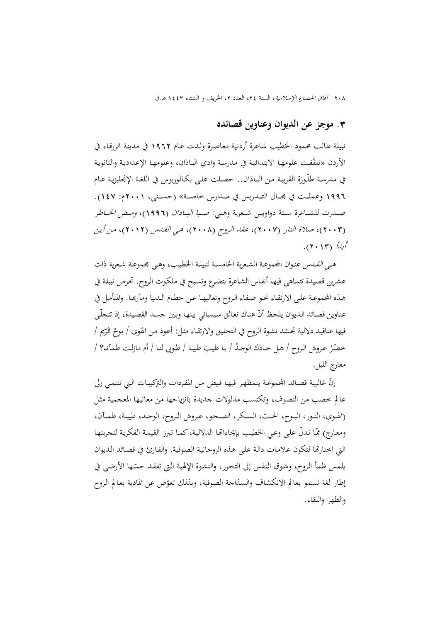#### **.**3 **موجز عن الديوان وعناوين قصائده**

نبيلة طالب محمود الخطيب شاعرة أردنية معاصـرة ولـدت عـام 1962 في مدينـة الزرقـاء في الأردن «تلقّفت علومها الابتدائية في مدرسة وادي الباذان، وعلومها الإعدادية والثانوية في مدرسـة طلّـوزة القريبـة مـن البـاذان.. حصـلت علـى بكـالوريوس في اللغـة الإنجليزيـة عـام 1996 وعملـــت في مجـــال التـــدريس في مـــدارس خاصـــة» (حســـنی، 2001م: 147). صـــدرت للشـــاعرة ســـتة دواويـــن شـــعرية وهـــي: صـــبا البـــاذان (1996)، ومـــض الخـــاطر (2003)، صلاة النار (2007)، عقد الـروح (2008)، هـي القـدس (2012)، مـن أيـن أبدأ (2013).

هـ*ي القــدس* عنـوان المجموعــة الشـعرية الخامســة لنبيلـة الخطيـب، وهـي مجموعــة شـعرية ذات عشـرين قصـيدة تتمـاهى فيهـا أنفـاس الشـاعرة بتضـرع وتسـبح في ملكـوت الـروح. تحـرص نبيلـة في هـذه الجحموعـة علـى الارتقـاء نحـو صـفـاء الـروح وتعاليهـا عـن حطـام الـدنيا ومآرهـا. والمتأمـل في عناوين قصائد الديوان يلحظ أنّ هناك تعالق سيميائي بينها وبين جسد القصيدة، إذ تتجلّـى فيها عناقيد دلالية تجسّد نشوة الروح في التحليق والارتقاء مثل: أعوذ من الهَوَى / بوحُ الرّتِم / حضّرْ عـروش الـروح / هـل جـادَك الوجـدُ / يـا طيـبَ طيبة / طـوبى لنـا / أم مازلـت ظمآنـا؟ / معارج الليل.

إنّ غالبية قصائد الجموعة يتمظهر فيها فيض من المفردات والتركيبات التي تنتمي إلى عالم خصب من التصوف، وتكتسب مدلولات جديدة بانزياحها من معانيها المعجمية مثـل (الهـوى، النــور، البــوح، الحــبّ، السـكر، الصـحو، عـروش الـروح، الوجــد، طيبـة، ظمــآن، ومعارج) ممّا تدلّ على وعي الخطيب بإيحاءاتها الدلالية،كما تبرز القيمة الفكرية لتجربتها التي اختارēا لتكون علامـات دالـة علـى هـذه الروحانيـة الصـوفية. والقـارئ في قصـائد الـديوان يلمس ظمأ الروح، وشوق النفس إلى التحرر، والنشوة الإلهية التي تفقد حسّما الأرضي في إطار لغة تسمو بعالم الانكشاف والسذاجة الصوفية، وبذلك تعوّض عن المادية بعالم الروح والطهر والنقاء.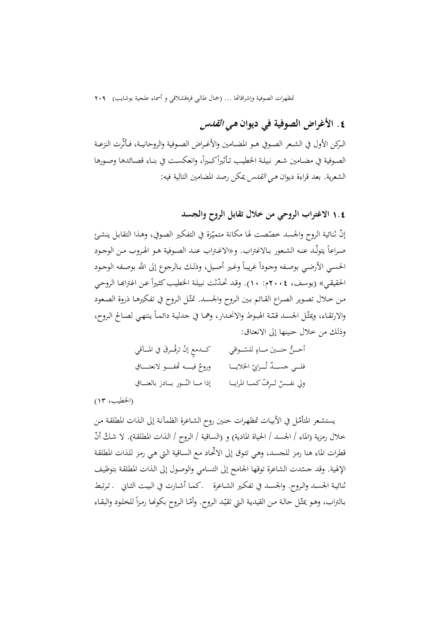# **.**4 **الأغراض الصوفية في ديوان هي القدس**

الــرکن الأول في الشــعر الصــوفي هــو المضــامين والأغــراض الصــوفية والروحانيــة، فــأثّرت النزعــة الصوفية في مضـامين شعر نبيلـة الخطيب تـأثيراً كبـيراً، وانعكسـت في بنـاء قصـائدها وصـورها الشعرية. بعد قراءة ديوان *هي القدس يمكن رصد المضامين التالية فيه*:

### 1**.**4 **الاغتراب الروحي من خلال تقابل الروح والجسد**

إنّ ثنائية الروح والجسد خصّصت لها مكانة متميّزة في التفكير الصوفي، وهذا التقابل ينشئ صـراعاً يتولّـد عنـه الشـعور بـالاغتراب. و«الاغـتراب عنـد الصـوفية هـو الهـروب مـن الوجـود الحسـي الأرضـي بوصـفه وجـوداً غريبـاً وغـير أصـيل، وذلـك بـالرجوع إلى الله بوصـفه الوجـود الحقيقي» (يوسف، ٢٠٠٤م: ١٠). وقد تحدّثت نبيلة الخطيب كثيراً عن اغتراهـا الروحي مـن خـلال تصـوير الصـراع القـائم بـين الـروح والجسـد. تمثّـل الـروح في تفكيرهـا ذروة الصـعود  $\overline{\phantom{a}}$ والارتقـاء، ويمثّـل الحسـد قمّـة الهبوط والانحدار، وهمـا في جدليـة دائمـاً ينتهـي لصـالح الـروح، وذلك من خلال حنينها إلى الانعتاق:

ّــــواقي ٍ للس ــــرق في المــــآقي َ حنــــين مــــاء إن ترق ُّ أحــــن ْ َ ٍ كــــدمع ْ ّ الخلايـــــا ُـــــرابي ٌ فيـــــــه َēفـــــــو ِ لانعتـــــــاق فلـــــي ٌ جســـــد <sup>ت</sup> وروح َ ِ ــــر ّفكمــــا المرايــــا ٌ ت َ ِ بالعنــــاق ولي نفــــس ّــــور بــــادر إذا مــــا الن

(الخطيب، 13)

يستشعر المتأمّـل في الأبيـات تمظهـرات حنـين روح الشـاعرة الظمآنـة إلى الـذات المطلقـة مـن خلال رمزية (الماء / الجسد / الحياة المادية) و (الساقية / الـروح / الـذات المطلقـة). لا شـكّ أنّ قطرات الماء هنا رمز للجسد، وهي تتوق إلى الاتّحاد مع السـاقية الـتي هـي رمز للذات المطلقة الإلهية. وقد حسّدت الشاعرة توقها الجامح إلى التسامي والوصول إلى الذات المطلقة بتوظيف ثنائيـة الجسـد والـروح. والجسـد في تفكـير الشـاعرة ـكمـا أشـارت في البيـت الثـاني ـ تـرتبط بـالتراب، وهـو يمثّـل حالـة مـن القيديـة الـتي تقيّد الـروح. وأمّـا الـروح بكونهـا رمـزاً للخلـود والبقـاء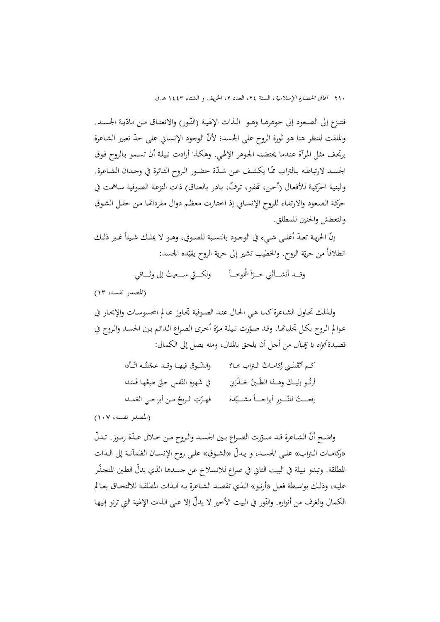فتنزع إلى الصعود إلى جوهرهـا وهـو الـذات الإلهيـة (النّـور) والانعتـاق مـن مادّيـة الجسـد. والملفت للنظر هنا هو ثورة الروح على الجسد؛ ّلأن الوجود الإنساني على ّحد تعبير الشـاعرة يرتجـف مثـل المـرآة عنـدما يحتضـنه الجـوهر الإلهـي. وهكـذا أرادت نبيلـة أن تسـمو بـالروح فـوق الجسـد لارتباطـه بـالتراب ممّـا يكشف عـن شـدّة حضـور الـروح الثـائرة في وجـدان الشـاعرة. والبنية الحركية للأفعال (أحن، تحفو، ترفّ، بـادر بالعناق) ذات النزعة الصوفية سـاهمت في حركـة الصـعود والارتقـاء للـروح الإنسـاني إذ اختـارت معظـم دوال مفرداēـا مـن حقـل الشـوق والتعطش والحنين للمطلق.

إنّ الحريـة تعـدّ أغلـى شـيء في الوحـود بالنسـبة للصـوفي، وهـو لا يملـك شـيئاً غـير ذلـك انطلاقاً من حريّة الروح. والخطيب تشير إلى حرية الروح يقيّده الجسد:

> $\overline{a}$ وقـــد أنشـــأنْني حــــرّأ شموخـــأ ولكــــتي ســــعيثُ إلى وثــــاقي ا

(المصدر نفسه، 13)

ولـذلك تحـاول الشـاعرةكمـا هـي الحـال عنـد الصـوفية تجـاوز عـالم المحسوسـات والإبحـار في عوالم الروح بكل تجلياتها. وقد صوّرت نبيلة مرّة أخرى الصراع الدائم بين الجسد والروح في قصيدة *أواه يا إقبال* من أجل أن يلحق بالمثال، ومنه يصل إلى الكمال:

| والشّـوق فيهـا وقـد عجّلتُـه اتّـأدا | كـم أثقَلتْني زُكامـاتُ الـتراب بَمـا؟      |
|--------------------------------------|---------------------------------------------|
| في شَهوةِ النّفسِ حتّى طبعُها فَسَدا | أرنُــو إليــكَ وهــذا الطّــينُ جَــذّرَني |
| فهـزّتِ الـريحُ مـن أبراجـي العَمـدا | رفعـــتُ للنّـــورِ أبراجــــاً مشــــيّدة  |

(المصدر نفسه، 107)

واضـح أنّ الشـاعرة قـد صـوّرت الصـراع بـين الجسـد والـروح مـن خـلال عـدّة رمـوز. تـدلّ «ركامــات الــتراب» علــى الجســد، و ّ يــدل «الشــوق» علــى روح الإنســان الظمآنــة إلى الــذات المطلقة. وتبدو نبيلة في البيت الثاني في صراع للانسلاخ عن جسدها الذي يدلّ الطين المتحذّر عليــه، وذلــك بواســطة فعــل «أرنــو» الــذي تقصــد الشــاعرة بــه الــذات المطلقــة للالتحــاق بعــالم الكمال والغرف من أنواره. والنَّور في البيت الأخير لا يدلّ إلا على الذات الإلهية التي ترنو إليها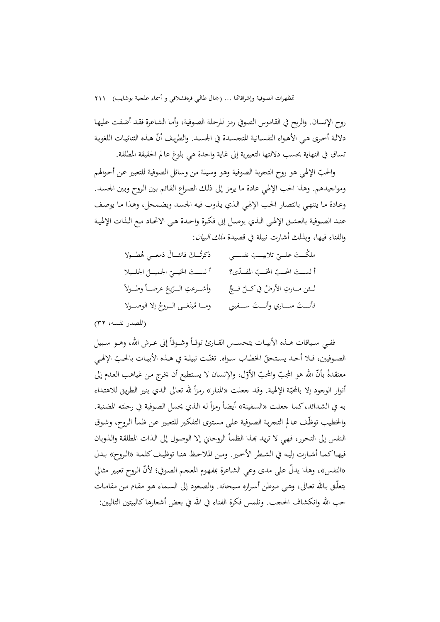روح الإنسان. والريح في القاموس الصوفي رمز للرحلـة الصـوفية، وأمـا الشـاعرة فقـد أضـفت عليهـا دلالـة أخرى هي الأهـواء النفسـانية المتجسـدة في الجسـد. والطريـف أنّ هـذه الثنائيـات اللغويـة تساق في النهاية بحسب دلالتها التعبيرية إلى غاية واحدة هي بلوغ عالم الحقيقة المطلقة.

والحبّ الإلهي هو روح التجربة الصوفية وهو وسيلة من وسائل الصوفية للتعبير عن أحوالهم ومواجيدهم. وهذا الحب الإلهي عادة ما يرمز إلى ذلـك الصـراع القـائم بـين الـروح وبـين الجسـد. وعـادة مـا ينتهـي بانتصـار الحـب الإلهـي الـذي يـذوب فيـه الجسـد ويضـمحل، وهـذا مـا يوصـف عنــد الصــوفية بالعشــق الإلهــي الــذي يوصــل إلى فكــرة واحــدة هــي الاتحــاد مــع الــذات الإلهيــة والفناء فيها، وبذلك أشارت نبيلة في قصيدة ملك البيان:

| ذكرتُــكَ فانثــالَ دَمعــي هُطــولا      | ملكْتَ علــيّ تلابيــبَ نفســي       |
|-------------------------------------------|--------------------------------------|
| ألستَ الخيـيّ الجميـلَ الجلـيلا           | ألستَ المحبّ المحَبّ المفـدّى؟       |
| وأشـــرعتِ الـــرّيحُ عرضــــاً وطـــولاً | لــئن مــارتِ الأرضُ في كــلّ فــجِّ |
| ومــا مُبتَغــى الــروحُ إلا الوصــولا    | فأنستَ منــاري وأنــتَ ســفيني       |

(المصدر نفسه، 32)

ففـي سـياقات هــذه الأبيــات يتحســس القــارئ توقــاً وشــوقاً إلى عــرش الله، وهــو سـبيل الصوفيين، فـلا أحـد يستحقّ الخطـاب سـواه. تغنّـت نبيلـة في هـذه الأبيـات بالحـبّ الإلهي معتقدةً بأنّ الله هو المحِبّ والمحبّ الأوّل، والإنسان لا يستطيع أن يخرج من غياهب العدم إلى أنوار الوجود إلا بالمحبّة الإلهية. وقـد جعلت «المنـار» رمزاً لله تعـالى الـذي ينـير الطريق للاهتداء<br>. به في الشدائد، كما جعلت «السفينة» أيضاً رمزاً له الذي يحمل الصوفية في رحلته المضنية.<br>. والخطيب توظّف عـالم التجربة الصوفية على مستوى التفكير للتعبير عـن ظمأ الروح، وشـوق النفس إلى التحرر، فهي لا تريد بحذا الظمأ الروحاني إلا الوصول إلى الذات المطلقة والذوبان فيهـاكمـا أشـارت إليـه في الشـطر الأخـير. ومـن الملاحـظ هنـا توظيـف كلمـة «الـروح» بـدل «النفس»، وهذا يدلّ على مدى وعي الشـاعرة بمفهوم المعجـم الصوفي؛ لأنّ الـروح تعبير مثـالي يتعلّـق بـاالله تعـالى، وهـي مـوطن أسـراره سـبحانه. والصـعود إلى السـماء هـو مقـام مـن مقامـات حب الله وانكشاف الحجب. ونلمس فكرة الفناء في الله في بعض أشعارها كالبيتين التاليين: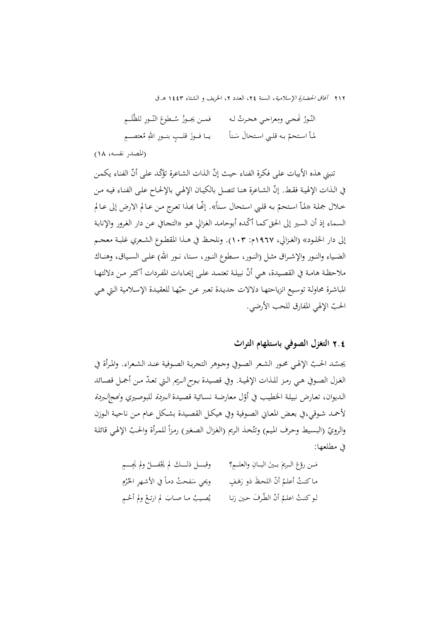نّـورُ كَمحي ومِعراجي هجرتُ لـه النّـورُ غَجي ومِعراجي هحرتُ لـه فمـن يجـوزُ سُــطوعَ النّـورِ للظُلَــمِ لماّ استحمّ بـه قلبي استحالُ سَنأً ُ ِ عتصــــم اســتحم َ ٍ قلـــب ِ بنــــور ِ االله <sup>م</sup> يـــا فــــوز

(المصدر نفسه، 18)

ننبني هذه الأبيات على فكرة الفناء حيث إنّ الذات الشاعرة تؤكّد على أنّ الفناء يكمن في الـذات الإلهية فقـط. إنّ الشـاعرة هنـا تتصـل بالكيـان الإلهـي بالإلحـاح علـى الفنـاء فيـه مـن حلال جملة «لماّ استحمّ به قلبي استحال سناً». إنّها بمذا تعرج من عـالم الارض إلى عـالم السماء إذ أن السير إلى الحق كما أكَّده أبوحامد الغزالي هو «التجافي عن دار الغرور والإنابة إلى دار الخلـود» (الغـزالي، ١٩٦٧م: ١٠٣). ونلحـظ في هــذا المقطـوع الشـعري غلبـة معجـم الضــياء والنــور والإشــراق مثــل (النــور، ســطوع النــور، ســنا، نــور االله) علــى الســياق، وهنــاك ملاحظة هامـة في القصيدة، هـي أنّ نبيلـة تعتمـد علـى إيحـاءات المفـردات أكثـر مـن دلالتهـا المباشرة محاولـة توسيع انزياحتهـا دلالات جديدة تعبر عـن حبّهـا للعقيدة الإسـلامية الـتي هـي الحبّ الإلهي المفارق للحب الأرضي.

### 2**.**4 **التغزل الصوفي باستلهام التراث**

يجسّد الحبّ الإلهي محور الشعر الصوفي وحوهر التحربـة الصـوفية عنـد الشـعراء. والمرأة في الغـزل الصـوفي هـي رمـز للـذات الإلهيـة. وفي قصـيدة *بـوح الـريم* الـتي تعـدّ مـن أجمـل قصـائد الـديوان، تعارض نبيلة الخطيب في أوّل معارضة نسـائية قصيدة *البردة* للبوصيري و*نحجالبردة* لأحمـد شـوقي،في بعـض المعـاني الصـوفية وفي هيكـل القصـيدة بشـكل عـام مـن ناحيـة الـوزن والرويّ (البسيط وحرف الميم) وتتّخذ الريم (الغزال الصغير) رمزاً للمرأة والحبّ الإلهي قائلة في مطلعها:

| وقبــــل ذلــــكَ لم يَجْفــــلْ ولم يَجِــــمِ | مَـن روّعَ الـريمَ بـينَ البـانِ والعلــمِ؟ |
|-------------------------------------------------|---------------------------------------------|
| ويحي سَفحتُ دماً في الأشهرِ الحُرُمِ            | ماكنتُ أعلمُ أنّ اللحظَ ذو رَهَفٍ           |
| يُصيبُ ما صابَ لم ارتعْ ولم أحُـمِ              | لـو كنـتُ اعلـمُ أنّ الطّرفَ حين رَنـا      |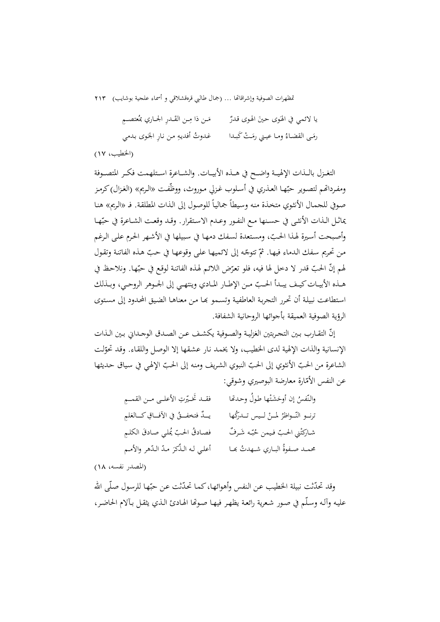َوى حينَ الهوى قدرٌ<br>ـ يا لائمي في الهَوى حينَ الهوى قدرٌ مَن ذا مِـن القَــدرِ الجــاري بمُعتصــمِ ــت َكبــدا ْ َ ُ ومــا عيــني رم ِ رم مـن َــى القضــاء غـدوتُ أفديهِ من نارِ الجَوى بـدمي

(الخطيب، 17)

التغــزل بالــذات الإلهيــة واضــح في هــذه الأبيــات. والشــاعرة اســتلهمت فكــر المتصــوفة ومفرداتهم لتصـوير حبّهـا العـذري في أسـلوب غـزلي مـوروث، ووظّفت «الـريم» (الغـزال) كرمـز صوفي للجمال الأنثوي متحذة منه وسيطاً جمالياً للوصول إلى الذات المطلقة. فـ «الريم» هنا بماثـل الـذات الأنثـى في حسـنها مـع النفـور وعـدم الاسـتقرار. وقـد وقعـت الشـاعرة في حبّهـا وأصبحت أسيرة لهذا الحبّ، ومستعدة لسفك دمها في سبيلها في الأشهر الحرم على الرغم من تحريم سفك الدماء فيها. ثمّ تتوجّه إلى لائميها على وقوعها في حبّ هذه الفاتنة وتقول لهم إنّ الحبّ قدر لا دخل لها فيه، فلو تعرّض اللائم لهذه الفاتنة لوقع في حبّها. ونلاحظ في هــذه الأبيــات كيـف يبــدأ الحــبّ مــن الإطــار المــادي وينتهـي إلى الجــوهر الروحــي، وبــذلك اسـتطاعت نبيلـة أن تحـرر التجربـة العاطفيـة وتسـمو đـا مـن معناهـا الضـيق المحـدود إلى مسـتوى الرؤية الصوفية العميقة بأجوائها الروحانية الشفافة.

إنّ التقــارب بـين التجـربتين الغزليـة والصـوفية يكشـف عـن الصـدق الوجـداني بـين الـذات الإنسانية والذات الإلهية لدى الخطيب، ولا يخمد نار عشقها إلا الوصل واللقاء. وقد تحوّلت الشاعرة من الحبّ الأنثوي إلى الحبّ النبوي الشريف ومنه إلى الحبّ الإلهي في سياق حديثها عن النفس الأمّارة معارضة البوصيري وشوقي:

| فقـد تَخـيّرتِ الأعلـي مـن القمــمِ     | والنّفسُ إن أوحَشَتْها طولٌ وحدهَا |
|-----------------------------------------|------------------------------------|
| يـدٌ فتخفــقُ في الآفــاقِ كــالعَلمِ   | ترنو النّواظرُ لمنْ ليس تـدركُها   |
| فصادقُ الحبّ يُملي صادقَ الكلمِ         | شاركتْني الحبّ فيمن حُبّه شَرفٌ    |
| أعلى لـه الـذِّكرَ مـدّ الـدّهر والأمـم | محمـد صـفوةُ البـاري شـهدتُ بِحـا  |

(المصدر نفسه، 18)

وقد تحدّثت نبيلة الخطيب عن النفس وأهوائها، كما تحدّثت عن حبّها للرسول صلّى الله عليـه وآلـه وسـلّم في صـور شـعرية رائعـة يظهـر فيهـا صـوēا الهـادئ الـذي يثقـل بـآلام الحاضـر،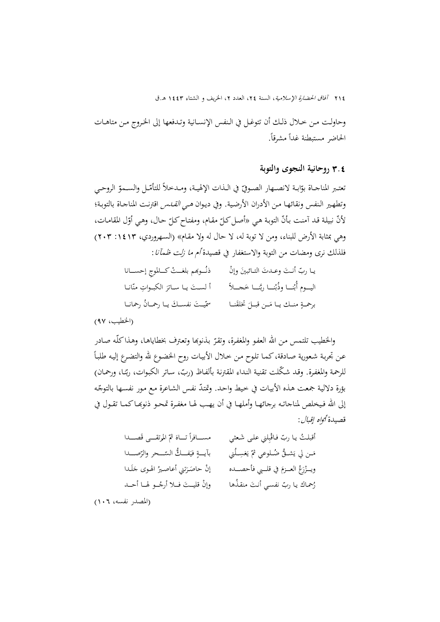وحاولــت مــن خــلال ذلــك أن تتوغــل في الــنفس الإنســانية وتــدفعها إلى الخــروج مــن متاهــات الحاضر مستبطنة غدأ مشرقاً.

### 3**.**4 **روحانية النجوى والتوبة**

نعتـبر المناجــاة بوّابـة لانصــهار الصـوفيّ في الــذات الإلهيـة، ومـدخلاً للتأمّـل والســموّ الروحـي وتطهير الـنفس ونقائهـا مـن الأدران الأرضية. وفي ديـوان *هـي القـدس* اقترنت المناجـاة بالتوبـة؛ بـأن التوبـة ّل المقامـات، ّلأن هـي « نبيلـة قـد آمنـت ّ ّ حـال، وهـي أو ّ مقـام، ومفتـاحكـل أصـلكـل وهي بمثابة الأرض للبناء، ومن لا توبة له، لا حال له ولا مقـام» (السـهروردي، :1413 203) فلذلك نرى ومضات من التوبة والاستغفار في قصيدة أم ما زلت ظمآنا:

| ذنُــوبَهم بلغــتْ كــالموج إحســانا | يـا ربّ أنـتَ وعـدتَ التـائبينَ وإنْ          |
|--------------------------------------|-----------------------------------------------|
| ألستَ يـا سـاترَ الكبـواتِ منّانـا   | اليــوم أُبْنــا وذُبْنــا ربَّنــا خَحـــلاً |
| سمِّيتَ نفسـكَ يـا رحمـانُ رحمانـا   | برحمةٍ منـك يـا مَـن قبـلَ تخلقَنـا           |

(الخطيب، 97)

والخطيب تلتمس من الله العفو والمغفرة، وتقرّ بذنوبها وتعترف بخطاياهـا، وهذاكلّـه صـادر<br>.  $\overline{\phantom{a}}$ عـن تجربـة شـعورية صـادقة،كمـا تلـوح مـن خـلال الأبيـات روح الخضـوع لله والتضـرع إليـه طلبـاً للرحمة والمغفرة. وقـد شكّلت تقنية النداء المقترنة بألفـاظ (ربّ، سـاتر الكبوات، ربّنـا، ورحمـان) بؤرة دلالية جمعت هذه الأبيات في خيط واحد. وتمتدّ نفس الشاعرة مع مور نفسـها بالتوجّه إلى الله فـيخلص لمناجاتـه برجائهـا وأملهـا في أن يهـب لهـا مغفـرة تمحـو ذنوبهـاكمـا تقـول في قصيدة أ<sub>أواه</sub> إقبال:

ِلني علـى َشـعثي ْب رب فـاق أقبلـت يـا ّ َصـــــدا ُ ُرتقـــــى <sup>ق</sup> ّ الم َ ثم ً تـــــاه مســـــافرا ُني ِ ـــل َغس ّ ي َ ُّشـــق ُضـــلوعي ثم ّ م صـــــدا َــن لي ي ّـــــحر والر َ ُّ فـــــك الس ٍ في بآيـــــة َ في قلــــبي فأحصــــده ُ العــــزم َع َــدا ْر َ ويــــز ل ُ الهــوى ج َتني أعاصــير َــر إن حاص ْ أنـت ر ُ منقـذها ُحمـاك رب نفسـي َ ُ يـا ـــو لهـــا أحـــد ّ قليـــت فـــلا أرج ْوإن َ

(المصدر نفسه، 106)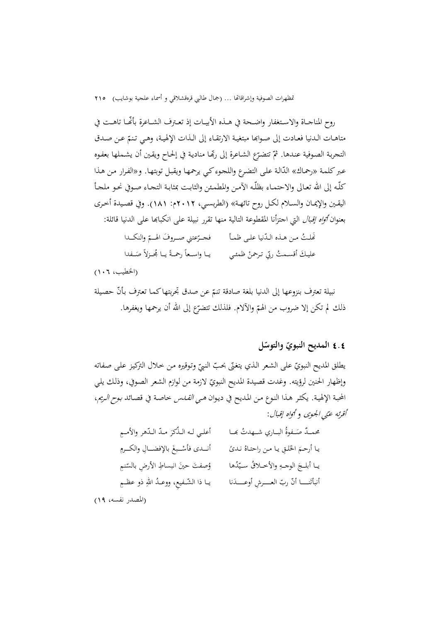روح المناجــاة والاســتغفار واضــحة في هــذه الأبيــات إذ تعــترف الشــاعرة ّ بأĔــا تاهــت في متاهـات الـدنيا فعـادت إلى صـوابَما مبتغيـة الارتقـاء إلى الـذات الإلهيـة، وهـي تـنـمّ عـن صـدق التجربة الصوفية عندها. ثمّ تتضرّع الشاعرة إلى ربِّها منادية في إلحاح ويقين أن يشملها بعفوه عبر كلمة «رحماك» الدّالة على التضرع واللجوء كي يرحمها ويقبل توبتهـا. و«الفرار من هذا كلّــه إلى االله تعــالى والاحتمــاء بظلّــه الآمــن والمطمــئن والثابــت بمثابــة التجــاء صــوفي نحــو ملجــأ اليقــين والإيمــان والســلام لكــل روح تائهــة» (الطربســي، 2012م: 181). وفي قصــيدة أخــرى بعنوان *أتواه إقبال* التي اجتزأنا المقطوعة التالية منها تقرر نبيلة على انكبابها على الدنيا قائلة: نَّملتُ مـن هـذه الـدّنيا علـى ظمــأ فحــرّعتني صــروفَ الهـــمّ والنكــدا عليكَ أقسـمتُ ربّي تـرحمنْ ظمئـي يــا واســعاً رحمـةً يــا بمُحـزلاً صَــفدا

(الخطيب، 106)

نبيلة تعترف بنزوعها إلى الدنيا بلغة صادقة تنمّ عن صدق تجربتها كما تعترف بأنّ حصيلة ذلك لم تكن إلا ضروب من الهمّ والآلام. فلذلك تتضرّع إلى الله أن يرحمها ويغفرها.

# **ّ** 4**.**4 **ل المديح النبوي ّ والتوس**

يطلق المديح النبويّ على الشعر الذي يتغنّى بحبّ النبيّ وتوقيره من حلال التركيز على صفاته وإظهار الحنين لرؤيته. وغدت قصيدة المديح النبويّ لازمة من لوازم الشعر الصوفي، وذلك يلي المحبة الإلهية. يكثـر هـذا النـوع مـن المـديح في ديـوان *هـي القـدس* خاصـة في قصـائد *بـوح الـريم*، أقوته عني الجيوى و أتواه إقبال :

| أعلـي لـه الـذِّكرَ مـدّ الـدّهر والأمـمِ  | محمـدٌ صَـفوةُ البــاري شــهدتُ بِحـا      |
|--------------------------------------------|--------------------------------------------|
| أنمدي فأسْبغَ بالإفضـالِ والكـرمِ          | يا أرحمَ الخَلقِ يا من راحتاهُ نديً        |
| ؤصفتَ حينَ انبساطِ الأرضِ بالسّنمِ         | يـا أبلـجَ الوجـهِ والأخـلاقُ سـيّدُها     |
| يــا ذا الشّــفيع، ووعــدُ اللهِ ذو عظــمِ | أنبأتَنــــا أنّ ربّ العــــرش أوعــــدَنا |
|                                            |                                            |

(المصدر نفسه، 19)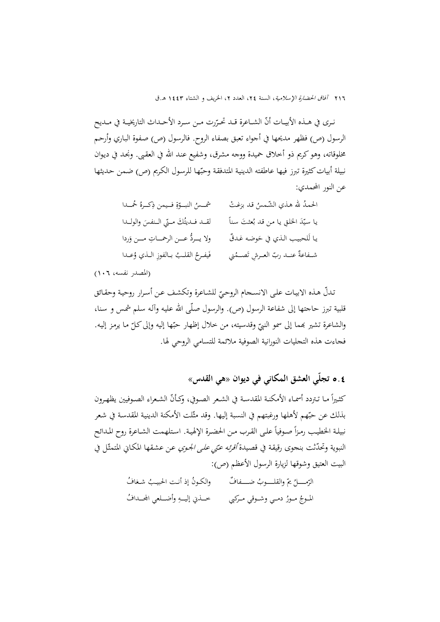نـرى في هــذه الأبيــات أنّ الشــاعرة قــد تحـرّرت مــن ســرد الأحــداث التاريخيــة في مــديح الرسول (ص) فظهر مديحها في أجواء تعبق بصفاء الروح. فالرسول (ص) صـفوة البـاري وأرحـم مخلوقاته، وهوكريم ذو أخلاق حميدة ووجه مشرق، وشفيع عنـد االله في العقـبى. ونجـد في ديـوان نبيلة أبيات كثيرة تبرز فيها عاطفته الدينية المتدفقة وحبّها للرسول الكريم (ص) ضمن حديثها عن النور المحمدي:

| شمس النبوةِ فيمن ذِكرهُ حُمْدا            | الحمدُ لله هذي الشّمسُ قد بزغتْ      |
|-------------------------------------------|--------------------------------------|
| لقـد فـديتُكَ مـتي الـنفسَ والولـدا       | يا سيّدَ الخلقِ يا من قد بُعثتَ سناً |
| ولا يــردُّ عـــن الرحمـــاتِ مـــن وَردا | يا لَلحبيب الذي في حَوضه غدقٌ        |
| فَيفرحُ القلبُ بـالفوزِ الـذي وُعـدا      | شـفاعةٌ عنــد ربّ العـرشِ تَصــمُني  |

#### (المصدر نفسه، 106)

ندلّ هذه الابيات على الانسـحام الروحيّ للشـاعرة وتكشف عن أسرار روحية وحقـائق<br>-قلبية تبرز حاجتها إلى شفاعة الرسول (ص). والرسول صـلّى االله عليـه وآلـه سـلم شمـس و سـنا، والشاعرة تشير بمما إلى سمو النبيّ وقدسيته، من خلال إظهار حبّها إليه وإلى كلّ ما يرمز إليه.<br>. فجاءت هذه التجليات النورانية الصوفية ملائمة للتسامي الروحي لها.

## **ّي العشق المكاني في ديوان «هي القدس»**  5**.**4 **تجل**

كثـيراً مـا تـتردد أسمـاء الأمكنـة المقدسـة في الشـعر الصـوفي، وكـأنّ الشـعراء الصـوفيين يظهـرون بذلك عن حبّهم لأهلها ورغبتهم في النسبة إليها. وقد مثّلت الأمكنة الدينية المقدسة في شعر نبيلـة الخطيب رمـزاً صـوفياً علـى القـرب مـن الحضـرة الإلهيـة. اسـتلهمت الشـاعرة روح المـدائح النبوية وتحدّثت بنجوى رقيقة في قصيدة *أقرئه عنّي على الجوي* عن عشقها المكاني المتمثّل في البيت العتيق وشوقها لزيارة الرسول الأعظم (ص):

> الرّمـــــلُ يمّ والقلـــــوبُ ضـــــفافٌ والكـونُ إذ أنـت الحبيــبُ شــغافُ الموجُ مـورُ دمـي وشـوقي مـركبي خــذني إليــهِ وأضــلعي المحـدافُ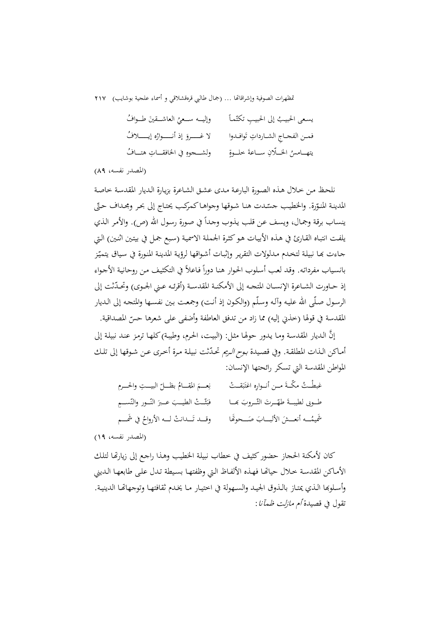| وإليـــه ســعئي العاشـــقينَ طــوافُ        | يسعى الحبيبُ إلى الحبيبِ تكتّماً     |
|---------------------------------------------|--------------------------------------|
| لا غـــــروَ إذ أنــــــوارُه إيـــــــلافُ | فمن الفحاج الشارداتِ تَوافدوا        |
| ولشــــجوهِ في الخافقـــاتِ هتـــافُ        | يتهــامسُ الخــلّانِ ســاعةَ خلــوةٍ |

(المصدر نفسه، 89)

نلحـظ مـن خـلال هـذه الصـورة البارعـة مـدى عشـق الشـاعرة بزيـارة الـديار المقدسـة خاصـة المدينة المنوّرة. والخطيب جسّدت هنا شوقها وجواهـا كمركب يحتاج إلى بحر ومجـداف حتّى ينساب برقة وجمال، ويسف عن قلب يذوب وحداً في صورة رسول الله (ص). والأمر الذي يلفـت انتبـاه القـارئ في هـذه الأبيـات هـوكثـرة الجملـة الاسميـة (سـبع جمـل في بيتـين اثنـين) الـتي جـاءت بحـا نبيلـة لتخـدم مـدلولات التقرير وإثبـات أشـواقها لرؤيـة المدينـة المنـورة في سـياق يتميّز بانسياب مفرداته. وقد لعب أسلوب الحوار هنا دوراً فاعلاً في التكثيف من روحانية الأجواء إذ حـاورت الشـاعرة الإنســان المتجـه إلى الأمكنـة المقدسـة (أقرئـه عـني الجـوى) وتحـدّثت إلى الرسـول صـلّى االله عليـه وآلـه وسـلّم (والكـون إذ أنـت) وجمعـت بـين نفسـها والمتجـه إلى الـديار المقدسة في قولها (خذني إليه) مما زاد من تدفق العاطفة وأضفى على شعرها حسّ المصداقية.

َّ إن الـديار المقدسـة ومـا يـدور حولهـا مثـل: (البيـت، الحـرم، وطيبـة) كلهـا ترمـز عنـد نبيلـة إلى أمـاكن الـذات المطلقـة. وفي قصـيدة *بـوح الـريم* تحـدّثت نبيلـة مـرة أخـرى عـن شـوقها إلى تلـك المواطن المقدسة التي تسكر رائحتها الإنسان:

| نِعِسَمَ المُقِسَامُ بظَلَّلَ البيستِ والحسرم  | غبطْتُ مكَّـةَ مــن أنــوارِه اغتَبَقــتْ |
|------------------------------------------------|-------------------------------------------|
| فبَثَّـتْ الطيــبَ عــبرَ النَّــور والنّســمِ | طوبي لطيبةً طهّرتَ التّروبَ بِحا          |
| وقـــد تَـــدانتْ لـــه الأرواحُ في شَمـــم    | شَيمُــه أنعــشَ الألبــابَ صَــحوهًا     |

(المصدر نفسه، 19)

كان لأمكنة الحجاز حضوركثيف في خطاب نبيلـة الخطيـب وهـذا راجـع إلى زيارēـا لتلـك الأمـاكن المقدسة خـلال حياتّما فهذه الألفـاظ الـتي وظفتهـا بسيطة تـدل على طابعهـا الـديني وأسـلوبها الـذي يمتـاز بالـذوق الجيـد والسـهولة في اختيـار مـا يخـدم ثقافتهـا وتوجهاتهـا الدينيـة. تقول في قصيدة أم مازلت ظمآنا: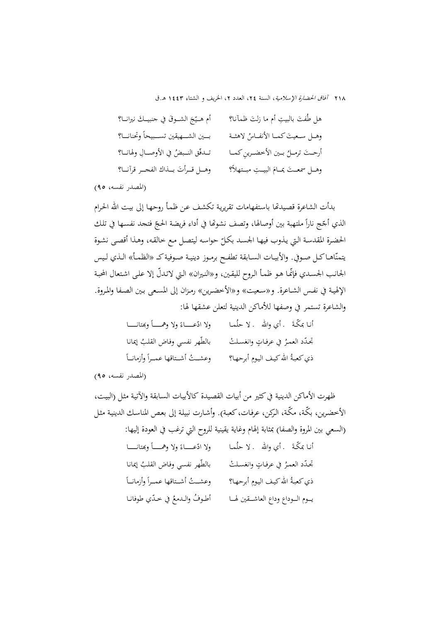| أم هـيّجَ الشـوقَ في حنبيـكَ نيرانـا؟ | هل طُفتَ بالبيتِ أم ما زلتَ ظمآنا؟     |
|---------------------------------------|----------------------------------------|
| بسين الشسهيقين تسسبيحاً وتحنانا؟      | وهـل سـعيتَ كمـا الأنفـاسُ لاهثـة      |
| تـدفّق النـبضُ في الأوصـالِ ولهانـا؟  | أرحـتَ ترمــلُ بــين الأخضــرينِ كمــا |
| وهــل قــرأتَ بــذاك الفجــر قرآنــا؟ | وهـل سمعـتَ يمـامَ البيـتِ مبـتهلاً؟   |

(المصدر نفسه، 95)

بدأت الشاعرة قصـيدēا باسـتفهامات تقريريـة تكشـف عـن ظمـأ روحهـا إلى بيـت االله الحـرام الذي أجّج ناراً ملتهبة بين أوصالها، وتصف نشوصًا في أداء فريضة الحجّ فتحد نفسها في تلك الحضرة المقدسة التي يذوب فيها الجسد بكلّ حواسه ليتصل مع خالقه، وهذا أقصى نشوة يتمنّاهــاكــل صـوفي. والأبيــات الســابقة تطفــح برمـوز دينيــة صــوفيةكــ «الظمــأ» الـذي لـيس الجانب الجسدي فإنّمـا هـو ظمـأ الـروح لليقـين، و«النـيران» الـتي لاتـدلّ إلا علـى اشـتعال المحبـة الإلهيـة في نفـس الشـاعرة. و«سـعيت» و«الأخضــرين» رمـزان إلى المسـعى بـين الصـفا والمــروة. والشاعرة تستمر في وصفها للأماكن الدينية لتعلن عشقها لها:

| ولا ادّعـــاءً ولا وهمــــاً وبمتانــــا | أنـا بمكَّـةَ    . أي والله    . لا حلُمـا |
|------------------------------------------|--------------------------------------------|
| بالطّهر نفسي وفاض القلبُ إيمانا          | تحدّد العمرُ في عرفاتٍ وانغسلتْ            |
| وعشمتُ أشـتاقها عمـراً وأزمانــاً        | ذي كعبةُ الله كيف اليومِ أبرحهـا؟          |

(المصدر نفسه، 95)

ظهرت الأماكن الدينية فيكثير من أبيات القصـيدة كالأبيـات السـابقة والآتيـة مثـل (البيـت، الأخضرين، بكّـة، مكّـة، الـركن، عرفـات،كعبـة). وأشـارت نبيلـة إلى بعـص المناسـك الدينيـة مثـل (السعي بين المروة والصفا) بمثابة إلهام وغاية يقينية للروح التي ترغب في العودة إليها: أنـا بمكّـةً . أي والله . لا حلّمـا ولا ادّعـــــاءً ولا وهمــــأ وبمتانـــــا تجـدّد العمـرُ في عرفـاتٍ وانغسـلتْ تجـدّد العمـرُ في عرفـاتٍ وانغسـلتْ بالطّهر نفسي وفـاض القلـبُ إيمانـا ذي كعبـةُ الله كيف اليـومِ أبرحهـا؟ الله كيف اليومِ أبرحهـا؟ وعشـــتُ أشــتاقها عمــراً وأزمانــاً يــوم الــوداع وداع العاشــقين لهــا أطـوفُ والـدمعُ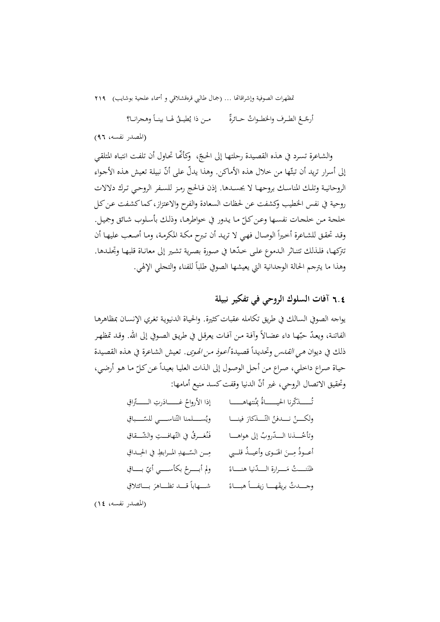أرجّــعُ الطـرف والخطــواتُ حــائرةً مــن ذا يُطيـــقُ لهــا بينــاً وهـجرانــا؟

(المصدر نفسه، 96)

والشـاعرة تسـرد في هـذه القصيدة رحلتهـا إلى الحـجّ، ۖ وكأنَّما تحـاول أن تلفت انتبـاه المتلقـي إلى أسرار تريد أن تبتّها من حلال هذه الأماكن. وهذا يدلّ على أنّ نبيلة تعيش هذه الأجواء الروحانيــة وتلــك المناســك بروحهــا لا بجســدها. إذن فــالحج رمــز للســفر الروحــي تــرك دلالات روحية في نفس الخطيب وكشفت عن لحظات السعادة والفرح والاعتزاز،كماكشفت عن كل خلجة من خلجات نفسها وعن كلّ ما يدور في خواطرهـا، وذلك بأسلوب شائق وجميل.<br>-وقـد تحقـق للشـاعرة أخـيراً الوصـال فهي لا تريـد أن تـبرح مكـة المكرمـة، ومـا أصـعب عليهـا أن تتركهـا، فلـذلك تتنـاثر الـدموع علـى خـدّها في صـورة بصرية تشـير إلى معانـاة قلبهـا وتجلـدها. وهذا ما يترجم الحالة الوجدانية التي يعيشها الصوفي طلبا ً للفناء والتجلي الإلهي.

### 6**.**4 **آفات السلوك الروحي في تفكير نبيلة**

يواجه الصوفي السالك في طريق تكامله عقباتكثيرة. والحيـاة الدنيويـة تغـري الإنسـان بمظاهرهـا الفاتنـة، ويعـدّ حبّهـا داء عضـالاً وأفـة مـن أفـات يعرقـل في طريـق الصـوفي إلى الله. وقـد تمظهـر ذلك في ديوان *هي القـدس* وتحديداً قصيدة *أعـوذ مـن الهـوى*. تعيش الشـاعرة في هـذه القصيدة حياة صراع داخلي، صراع من أجل الوصول إلى الذات العليا بعيداً عن كلّ ما هو أرضي، وتحقيق الاتصال الروحي، غير أنّ الدنيا وقفت كسد منيع أمامها:

ُنتهاهـــــــــــا ِ ُ بم ـــــــــــذكرنا الحيـــــــــــاة ّ ُ ّ ِ اق <sup>ت</sup> َ ِرت الـــــــــــتر ُ غـــــــــــاد إذا الأرواح َ فينــــــا ّــــــذكار ُ الت ْ نــــــدفن ّ ِ ــــــــباق ولكــــــن ّناســــــــي للس ُســــــــلمنا الت وي روب إلى هواهــــــا الــــــد ُ ُــــــذنا ّ ّ ِ هافـــــت ّ والش ِ ـــــقاق وتأخ ُ ُ غـــــرق في الت َن فـ َــــوى ُ وأعيــــذ قلــــبي َ اله ِــــن ُ م ِ أعــــوذ ّــــهد ِــــن الس ِ ِ ــــداق م ِ المــــرابط في الح ً الـــــــدنيا هنـــــــاء َـــــــرارة ّ نـــــــت م ُ َ ّ ِ بــــــــاق ظن ْ بكأســــــــي أي ولم أبــــــــرح ً ً هبــــــاء َهــــــا زيفــــــا وجــــــدت بريق َ ِ بــــــائتلاق ُ ً قــــــد تظــــــاهر شــــــهابا

(المصدر نفسه، 14)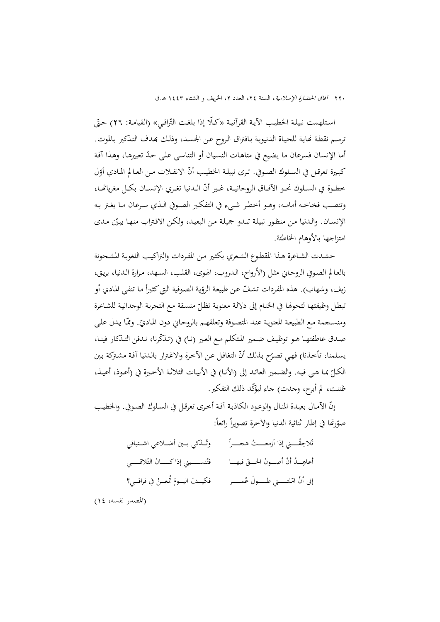٢٢٠ آفاق الحضارة الإسلامية، السنة ٢٤، العدد ٢، الخريف و الشتاء ١٤٤٣ هـ.ق

استلهمت نبيلة الخطيب الآيـة القرآنيـة «كـلًّا إذا بلغـت التَّراقـي» (القيامـة: ٢٦) حتَّى ترسم نقطة نهاية للحياة الدنيوية بـافتراق الروح عن الجسد، وذلك بهدف التذكير بـالموت. أما الإنسان فسرعان ما يضـيع في متاهـات النسـيان أو التناسـي علـى ّحـد تعبيرهـا، وهـذا آفـة كبـيرة تعرقـل في الســلوك الصـوفي. تـرى نبيلـة الخطيـب أنّ الانفـلات مـن العـالم المـادي أوّل خطـوة في الســلوك نحـو الآفـاق الروحانيــة، غـير أنّ الــدنيا تغـري الإنســان بكــل مغرياتمــا، وتنصــب فخاخــه أمامــه، وهــو أخطــر شــيء في التفكــير الصــوفي الــذي ســرعان مــا يغــتر بــه الإنسـان. والـدنيا مـن منظـور نبيلـة تبـدو جميلـة مـن البعيـد، ولكـن الاقـتراب منهـا يبـيّن مـدى امتزاجها بالأوهام الخاطئة.

حشـدت الشـاعرة هـذا المقطـوع الشـعري بكثـير مـن المفـردات والتراكيـب اللغويـة المشـحونة بالعـالم الصـوفي الروحـاني مثـل (الأرواح، الـدروب، الهـوى، القلـب، السـهد، مـرارة الـدنيا، بريـق، زيف، وشهاب). هذه المفردات تشفّ عن طبيعة الرؤية الصوفية التي كثيراً ما تنفي المادي أو تبطل وظيفتهـا لتحولها في الختـام إلى دلالـة معنوية تظلّ متسـقة مـع التجربـة الوجدانيـة للشـاعرة ومنسـجمة مـع الطبيعـة المعنويـة عنـد المتصـوفة وتعلقهـم بالروحـاني دون المـاديّ. وممّا يـدل علـي صدق عاطفتهـا هـو توظيـف ضـمير المتكلم مـع الغير (نـا) في (تـذكّرنا، نـدفن التـذكار فينـا، يسلمنا، تأخذنا) فهي تصرّح بذلك أنّ التغافل عن الأخرة والاغترار بالدنيا آفة مشتركة بين الكـلّ بمـا هـي فيـه. والضـمير العائـد إلى (الأنـا) في الأبيـات الثلاثـة الأخـيرة في (أعـوذ، أعيـذ، ظننت، لم أبرح، وجدت) جاء ليؤكّد ذلك التفكير .

إنّ الآمـال بعيـدة المنـال والوعـود الكاذبـة آفـة أخـرى تعرقـل في السـلوك الصـوفي. والخطيب صوّرتُما في إطار ثنائية الدنيا والآخرة تصويراً رائعاً:

| وتُـذكي بــين أضــلاعي اشــتياقي      | تُلاحِقُـــني إذا أزمعــــتُ هحـــراً                                                     |
|---------------------------------------|-------------------------------------------------------------------------------------------|
|                                       | أعاهِــدُ أنْ أصـــونَ الحـــقّ فيهـــا          فتُنســـــيني إذاكـــــانَ التّلاقـــــي |
| فكيــفَ اليــومَ تُمعــنُ في فراقــي؟ | إلى أنْ امّلتـــــني طــــــولَ عُمـــــــر                                               |

(المصدر نفسه، 14)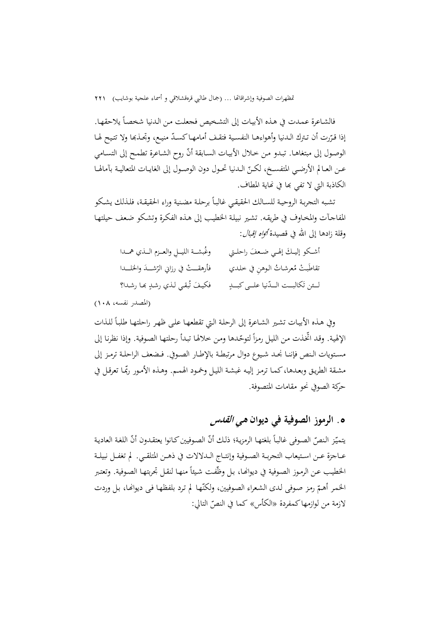فالشـاعرة عمـدت في هـذه الأبيـات إلى التشـخيص فجعلت مـن الـدنيا شخصـاً يلاحقهـا. إذا قـرّرت أن تـترك الـدنيا وأهواءهـا النفسـية فتقـف أمامهـا كسـدّ منيـع، وتجـذبها ولا تتـيح لهـا<br>. الوصـول إلى مبتغاهـا. تبـدو مـن خـلال الأبيـات السـابقة أنّ روح الشـاعرة تطمـح إلى التسـامي عـن العــالم الأرضــي المتفســخ، لكــنّ الــدنيا تحـول دون الوصــول إلى الغايــات المتعاليــة بآمالهــا الكاذبة التي لا تفي بما في نماية المطاف.

شـبه التجربـة الروحيـة للسـالك الحقيقـي غالبـا برحلـة مضـنية وراء الحقيقـة، فلـذلك يشـكو ً ت المفاجـآت والمخـاوف في طريقـه. تشـير نبيلـة الخطيـب إلى هـذه الفكـرة وتشـكو ضـعف حيلتهـا وقلة زادها إلى الله في قصيدة *أواه إقبال*:

| وغُبشــة الليــلِ والعــزم الــذي همــدا  | أشكو إليىك إلهي ضعفَ راحلـتي      |
|-------------------------------------------|-----------------------------------|
| فأرهقـــتْ في رزاني الرّشـــدَ والخلـــدا | تقاطَبتْ مُعرشاتُ الـوهنِ في خلدي |
| فكيفَ تُبقي لذي رشدٍ ها رشدا؟             | لئن تَكالبت اللدّنيا علـى كبــدٍ  |

(المصدر نفسه، 108)

وفي هـذه الأبيـات تشـير الشـاعرة إلى الرحلـة الـتي تقطعهـا علـى ظهـر راحلتهـا طلبـاً للـذات الإلهية. وقد اتخذت من الليل رمزاً لتوحّدها ومن خلالها تبدأ رحلتها الصوفية. وإذا نظرنا إلى مســتويات الــنص فإننــا نجــد شــيوع دوال مرتبطــة بالإطــار الصــوفي. فــضعف الراحلــة ترمــز إلى مشقة الطريق وبعدها،كمما ترمز إليه غبشة الليل وخمود الهمم. وهـذه الأمـور ربّمـا تعرقـل في حركة الصوفي نحو مقامات المتصوفة.

## **.**5 **الرموز الصوفية في ديوان هي القدس**

يتميّن النصّ الصوفي غالباً بلغتها الرمزية؛ ذلك أنّ الصوفيين كـانوا يعتقـدون أنّ اللغة العادية عــاجزة عــن اســتيعاب التجربــة الصــوفية وإنتــاج الــدلالات في ذهــن المتلقــي. لم تغفــل نبيلــة الخطيب عن الرموز الصوفية في ديوانها، بل وظّفت شيئاً منهـا لنقـل تجربتهـا الصوفية. وتعتبر الخمر أهمّ رمز صوفي لدى الشعراء الصوفيين، ولكنّها لم ترد بلفظها في ديوانها، بل وردت لازمة من لوازمها کمفردة «الکأس» کما في النصّ التالي:<br>-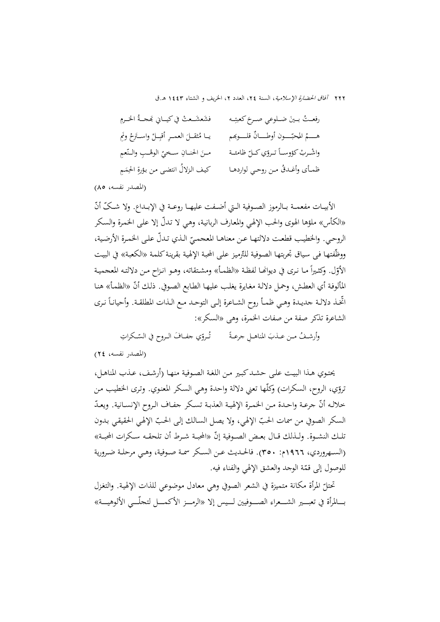| فشَعشَـعتْ في كيــاني بَمحــةُ الحَــرمِ        | رفعـتُ بـينَ ضـلوعي صـرحَ كعبتِـه           |
|-------------------------------------------------|---------------------------------------------|
| يــا مُثقــلَ العمــرِ أقبِــلْ واســتَرخ ونَمِ | هــــمُ المحبّــــون أوطــــانٌ قلــــوبَهم |
| مئ الحنـانِ سـخيِّ الوهْـبِ والـنَّعمِ          | واشرب كؤوساً تروي كل ظامئة                  |
| كيف الزلالُ انتضى من بؤرةِ الحِمَمِ             | ظمأي وأغدقُ من روحي لواردهـا                |

(المصدر نفسه، 85)

الأبيــات مفعمــة بــالرموز الصــوفية الــتي أضــفت عليهــا روعــة في الإبــداع. ولا شــکّ أنّ «الکأس» ملؤها الهوى والحب الإلهـي والمعـارف الربانيـة، وهـي لا ّ تـدل إلا علـی الخمـرة والسـكر الروحي. والخطيب قطعت دلالتهـا عـن معناهـا المعجمـيّ الـذي تـدلّ علـي الخمـرة الأرضـية،<br>-ووظّفتهـا فـی سياق تجربتهـا الصوفية للتّرميز علـی المحبة الإلهية بقرينة کلمـة «الکعبـة» في البيت الأوّل. وكثـيراً مـا نـري في ديوانهـا لفظـة «الظمــأ» ومشـتقاته، وهـو انـزاح مـن دلالتـه المعجميـة المألوفة أي العطش، وحمل دلالة مغايرة يغلب عليهـا الطـابع الصـوفي. ذلـك أنّ «الظمـأ» هنـا اتخـذ دلالـة جديـدة وهـي ظمـأ روح الشــاعرة إلـى التوحـد مـع الـذات المطلقـة. وأحيانـاً نـرى الشاعرة تذکر صفة من صفات الخمرة، وهی «السکر»:

وأرشـفُ مـن عــذبَ المناهــلِ جرعـةً مصــــــ تُــروّي جفــافَ الــروح في السّــكراتِ ت

(المصدر نفسه، 24)

يحتـوي هـذا البيـت علـی حشـدکبـير مـن اللغـة الصـوفية منهـا (أرشـف، عـذب المناهـل، تروّي، الروح، السكرات) وكلّها تعني دلالة واحدة وهي السكر المعنوي. وترى الخطيب من خلالـه أنّ جرعـة واحـدة مـن الخمـرة الإلهيـة العذبـة تسـكر جفـاف الـروح الإنسـانية. ويعـدّ السكر الصوفي من سمات الحبّ الإلهي، ولا يصل السالك إلى الحبّ الإلهي الحقيقي بدون تلـك النشــوة. ولــذلك قــال بعـض الصــوفية إنّ «المحبــة شــرط أن تلحقــه سـكرات المحبـة» (الســهروردي، 1966م: 350). فالحــديث عــن الســکر سمــة صــوفية، وهــي مرحلــة ضــرورية للوصول إلى قمّة الوجد والعشق الإلهي والفناء فيه.

ّ المرأة مكانة متميزة في الشعر الصوفي وهي معادل موضوعي للذات الإلهيـة. والتغـزل تحتل بـــــالمرأة في تعبـــــير الشـــــعراء الصـــــوفيين لـــــيس إلا «الرمـــــز الأكمـــــل لتجلّـــــي الألوهيـــــة»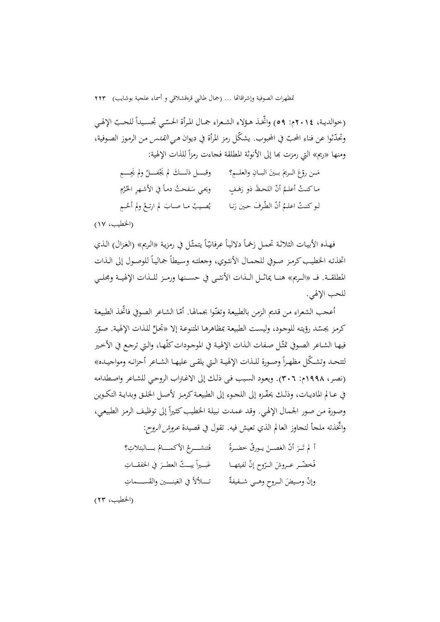(حوالديـة، ٢٠١٤م: ٥٩) واتخـذ هـؤلاء الشـعراء جمـال المرأة الحسّـي تجسـيداً للحـبّ الإلهي وتحدّثوا عن فناء المحبّ في المحبوب. يشكّل رمز المرأة في ديوان *هي القدس* من الرموز الصوفية،<br>-ومنها «ريم» التي رمزت بما إلى الأنوثة المطلقة فحاءت رمزاً للذات الإلهية:

| وقبــــل ذلــــكَ لم يَجْفــــلْ ولم يَجِــــمِ | مَـن روِّعَ الـريمَ بـينَ البـانِ والعلــمِ؟ |
|-------------------------------------------------|----------------------------------------------|
| ويحي سَفحتُ دماً في الأشهرِ الحُرُمِ            | ماكنتُ أعلمُ أنَّ اللحظَ ذو رَهَفٍ           |
| يُصيبُ ما صابَ لم ارتعْ ولم أحُـمِ              | لـو كنـتُ اعلـمُ أنّ الطّرفَ حين رَنـا       |

(الخطيب، 17)

فهـذه الأبيـات الثلاثـة تحمـل زخمـاً دلاليـاً عرفـانيّـاً يتمثّـل في رمزيـة «الـريم» (الغـزال) الـذي اتخذتـه الخطيب كرمز صـوفي للجمـال الأنثـوي، وجعلتـه وسيطاً جمالياً للوصـول إلى الـذات المطلقـــة. فـــ «الـــريم» هنـــا يماثـــل الـــذات الأنثـــى في حســـنها ورمـــز للـــذات الإلهيـــة ومجلـــي للحب الإلهي.

أعجب الشعراء من قديم الزمن بالطبيعة وتغنّوا بجمالها. أمّا الشاعر الصوفي فاتخذ الطبيعة كرمز يجسّد رؤيته للوجود، وليست الطبيعة بمظاهرهـا المتنوعة إلا «تجلّ للذات الإلهية. صوّر فيهـا الشـاعر الصـوفي تمثّل صـفات الـذات الإلهيـة في الموجـودات كلّهـا، والـتي ترجـع في الأخـير لتتحـد وتشـكّل مظهـراً وصـورة للـذات الإلهيـة الـتي يلقـى عليهـا الشـاعر أحزانـه ومواجيـده» (نصـر، 1998م: 306). ويعـود السـبب فـی ذلـك إلى الاغـتراب الروحـي للشـاعر واصـطدامه في عــالم الماديــات، وذلـك يحفّــزه إلى اللجــوء إلى الطبيعـة كرمـز لأصــل الحلـق وبدايـة التكـوين وصورة من صور الجمال الإلهي. وقد عمدت نبيلة الخطيب كثيراً إلى توظيف الرمز الطبيعي، ّواتخذته ملجأ لتجاوز العالم الذي تعيش فيه. تقول في قصيدة عروش الروح:

| فَتنشـــرحُ الأكمـــامُ بـــالبتلاتِ؟       | أَ لَم تَـرَ أنَّ الغصـنَ يـورقُ خضـرةً |
|---------------------------------------------|-----------------------------------------|
| عَبِـــيراً يبـــتّ العطــرَ في الخفقـــاتِ | فَخضّــر عــروشَ الــرّوح إنّ لفيئهــا  |
| تــــلألأ في العَينـــــين والقَســــماتِ   | وإنّ ومـيضَ الـروحِ وهـي شـفيفةٌ        |

(الخطيب، 23)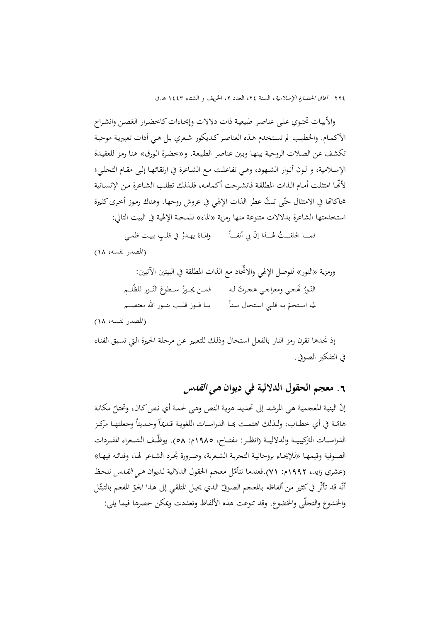والأبيـات تحتـوي علـی عناصـر طبيعيـة ذات دلالات وإيحـاءاتکاخضـرار الغصـن وانشـراح الأکمـام. والخطيـب لم تسـتخدم هـذه العناصـرکـديکور شـعري بـل هـي أدات تعبيريـة موحيـة تکشف عن الصـلات الروحيـة بينهـا وبـين عناصـر الطبيعـة. و«خضـرة الـورق» هنـا رمـز للعقيـدة الإسـلامية، و لـون أنـوار الشـهود، وهـي تفاعلـت مـع الشـاعرة في ارتقائهـا إلـی مقـام التجلـي؛ ّلأĔـا امتثلـت أمـام الـذات المطلقـة فانشـرحت أکمامـه، فلـذلك تطلـب الشـاعرة مـن الإنسـانية محاكاتما في الامتثال حتّى تبثّ عطر الذات الإلهي في عروش روحها. وهناك رموز أخرى كثيرة استخدمتها الشاعرة بدلالات متنوعة منها رمزية «الماء» للمحبة الإلهية في البيت التالي:

 $\overline{a}$ فمـــا خُلقــــتُ لهـــذا إنّ بي أنفـــاً والمـاءُ يهـدرُ في قلــبٍ يبيـت ظمـي

(المصدر نفسه، 18)

ورمزية «النور» للوصل الإلهي والاتّحاد مع الذات المطلقة في البيتين الآتيين: النّـورُ كَمجي ومعراجي هجرتُ لـه فمــن يجـوزُ ســطوعَ فمــن يجــوزُ ســطوعَ النّــور للظُلــمِ  $\overline{a}$ لما استحمّ بـه قلبي استحال سناً يــا فــوز قلــب بنــور الله معتصــم<br>. (المصدر نفسه، 18)

إذ نجدها تقرن رمز النار بالفعـل اسـتحال وذلـك للتعبـير عـن مرحلـة الحـيرة الـتي تسـبق الفنـاء في التفكير الصوفي.

**.**6 **معجم الحقول الدلالية في ديوان هي القدس**

إنّ البنية المعجمية هي المرشد إلى تحديد هوية النص وهي لحمة أي نص كان، وتحتلّ مكانة<br>. هامّـة في أي خطـاب، ولـذلك اهتمـت بَمـا الدراسـات اللغويـة قـديماً وحـديثاً وجعلتهـا مركـز الدراســات التركيبيــة والدلاليــة (انظــر: مفتــاح، ١٩٨٥م: ٥٨). يوظّــف الشــعراء المفــردات الصـوفية وقيمهـا «للإيحـاء بروحانيـة التجربـة الشـعرية، وضـرورة تجـرد الشـاعر لهـا، وفنائـه فيهـا» (عشري زايد، ١٩٩٢م: ٧١).فعندما نتأمّل معجم الحقول الدلالية لديوان *هـي القـدس* نلحظ أنّه قد تأثّر في كثير من ألفاظه بـالمعجم الصـوفيّ الـذي يحيل المتلقـي إلى هـذا الجـوّ المفعـم بـالتبتّل<br>. والخشوع والتجلّي والخضوع. وقد تنوعت هذه الألفاظ وتعددت ويمکن حصرها فيما يلي: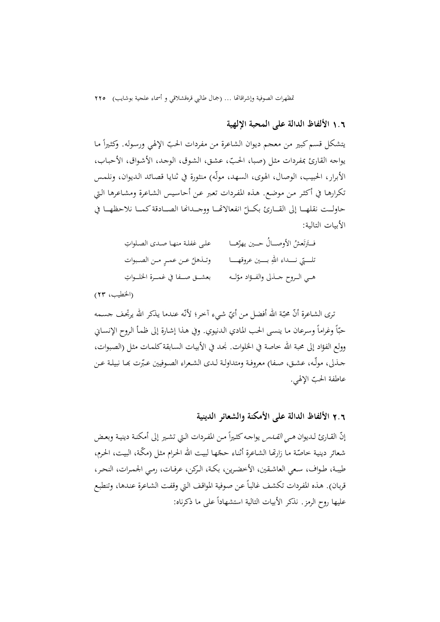# 1**.**6 **الألفاظ الدالة علی المحبة الإلهية**

يتشكل قسم كبير من معجم ديوان الشاعرة من مفردات الحبّ الإلهي ورسوله. وكثيراً ما يواجه القارئ بمفـردات مثـل (صـبا، الحـب، عشـق، الشـوق، الوجـد، الأشـواق، الأحبـاب، ّ الأبرار، الحبيب، الوصال، الهوى، السهد، مولّه) منثورة في ثنايـا قصـائد الـديوان، ونلمـس تكرارهـا في أكثـر مـن موضـع. هـذه المفـردات تعـبر عـن أحاسـيس الشـاعرة ومشـاعرها الـتي حاولــت نقلهـــا إلى القـــارئ بكـــلّ انفعالاقمـــا ووجـــدافما الصـــادقة كمـــا نلاحظهــا في الأبيات التالية:

| على غفلة منها صدى الصلواتِ        | فتَرتَعشُ الأوصـالُ حـين يهزّهـا                    |
|-----------------------------------|-----------------------------------------------------|
| وتـذهلُ عـن عمـرٍ مـن الصـبوات    | تلــــتي نـــــــــــاه اللهِ بــــــين عروقهـــــا |
| بعشــق صــفا في غمــرة الخلــواتِ | هـي الـروح حــذلي والفــؤاد موّلــه                 |

(الخطيب، 23)

نرى الشـاعرة أنّ محبّة الله أفضـل من أيّ شيء آخر؛ لأنّه عنـدما يذكر الله يرتجف جسـمه حبّأ وغراماً وسرعان ما ينسى الحب المادي الدنيوي. وفي هـذا إشـارة إلى ظمـأ الـروح الإنسـاني وولع الفؤاد إلى محبة الله خاصة في الخلوات. نجد في الأبيـات السـابقة كلمـات مثل (الصبوات، جــذلي، مولّــه، عشــق، صــفـا) معروفــة ومتداولــة لــدى الشـعراء الصــوفيين عـبّرت بحــا نبيلــة عــن عاطفة الحب ّ الإلهي.

### 2**.**6 **الألفاظ الدالة علی الأمكنة والشعائر الدينية**

إنّ القـارئ لـديوان *هـي القــدس* يواجـه كثـيراً مـن المفـردات الـتي تشـير إلى أمكنـة دينيـة وبعـض شعائر دينية خاصّة ما زارتّما الشاعرة أثناء حجّها لبيت الله الحرام مثل (مكّة، البيت، الحرم، طيبــة، طــواف، ســعي العاشــقين، الأخضــرين، بكــة، الــركن، عرفــات، رمــي الجمــرات، النحــر، قربـان). هـذه المفردات تكشف غالباً عـن صوفية المواقف الـتي وقفت الشـاعرة عندهـا، وتنطبـع عليها روح الرمز. نذكر الأبيات التالية استشهادا ًعلى ما ذكرناه: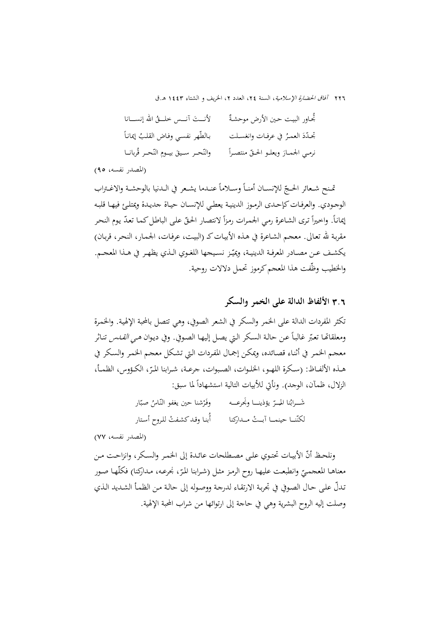| لأنــتَ آنــس خلــقُ الله إنســانا     | ثُجاور البيت حين الأرض موحشةٌ       |
|----------------------------------------|-------------------------------------|
| بالطّهر نفسي وفاض القلبُ إيماناً       | تحدّدَ العمرُ في عرفـات وانغسـلت    |
| والنّحر سـيقَ بيـومِ النّحـرِ قُربانـا | نرمي الجمارَ ويعلـو الحـقّ منتصـراً |

(المصدر نفسه، 95)

تمنح شعائر الحجّ للإنســان أمنـاً وســلاماً عنــدما يشـعر في الــدنيا بالوحشـة والاغـتراب الوجـودي. والعرفـات كإحـدى الرمـوز الدينيـة يعطـي للإنسـان حيـاة جديـدة ويمتلـئ فيهـا قلبـه إيماناً. واخيراً ترى الشاعرة رمي الجمرات رمزاً لانتصار الحقّ على الباطل كما تعدّ يوم النحر مقربـة الله تعـالى. معجـم الشـاعرة في هـذه الأبيـاتكـ (البيـت، عرفـات، الجمـار، النحـر، قربـان) يكشـف عـن مصــادر المعرفــة الدينيــة، ويميّــز نسـيجها اللغـوي الــذي يظهـر في هــذا المعجــم. والخطيب وظّفت هذا المعجم كرموز تحمل دلالات روحية.

3**.**6 **الألفاظ الدالة علی الخمر والسکر** 

تکثر المفردات الدالة على الخمر والسكر في الشعر الصوفي، وهي تتصل بالمحبة الإلهيـة. والخمـرة ومعلقاتها تعبّر غالباً عن حالة السكر التي يصل إليهـا الصوفي. وفي ديـوان *هـي القـنس* تنـاثر معجـم الخمـر في أثنـاء قصـائده، ويمكـن إجمـال المفـردات الـتي تشـكل معجـم الخمـر والسـكر في هــذه الألفــاظ: (سـكرة اللهــو، الخلــوات، الصـبوات، جرعــة، شــرابنا المـّرّ، الكــؤوس، الظمــأ،<br>. الزلال، ظمآن، الوجد). ونأتي للأبيات التالية استشهاداً لما سبق:

> شَـــرابُنا المــِــرّ يؤذينـــا ونجُرعــــه وفَرْشنا حين يغفو النّـاسُ صبّار<br>مرّ لكنّنــا حينمــا آبــث مــداركنا أبنا وقـد كشفتْ للروح أستار

(المصدر نفسه، 77)

ونلحـظ أنّ الأبيـات تحتـوي علـى مصـطلحات عائـدة إلى الخمـر والسكر، وانزاحـت مـن معناهـا المعجميّ وانطبعـت عليهـا روح الرمـز مثـل (شـرابنا المرّ، نجرعـه، مـداركنا) فكلّهـا صـور<br>-ّ تـدل علـى حـال الصـوفي في تجربـة الارتقـاء لدرجـة ووصـوله إلى حالـة مـن الظمـأ الشـديد الـذي وصلت إليه الروح البشرية وهي في حاجة إلى ارتوائها من شراب المحبة الإلهية.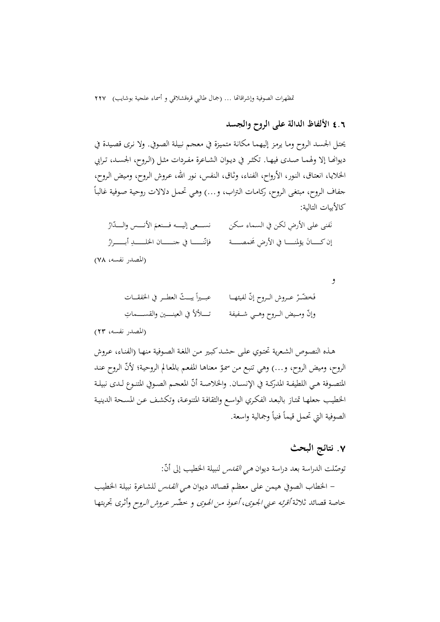### 4**.**6 **الألفاظ الدالة علی الروح والجسد**

يحتـل الجسـد الـروح ومـا يرمـز إليهمـا مكانـة متميـزة في معجـم نبيلـة الصـوفي. ولا نـرى قصـيدة في ديوانهـا إلا ولهمـا صـدى فيهـا. تكثـر في ديـوان الشـاعرة مفـردات مثـل (الـروح، الجسـد، تـرابي الخلايـا، انعتـاق، النـور، الأرواح، الفنـاء، وثـاق، الـنفس، نـور االله، عـروش الـروح، ومـيض الـروح،  $\overline{a}$ جفاف الـروح، مبتغـى الـروح، ركامـات الـتراب، و...) وهـي تحمـل دلالات روحيـة صـوفية غالبـا كالأبيات التالية:

َفنی علـی ِ الأرض لکـن في السـماء سـکن نَفني على الأرضِ لكن في السماء سكن مسمسمى إليـــــه فـــنعمَ الأنــــس والــــدّارُ إن كــــــانَ يؤلمنـــــــــا في الأرضِ مخمصـــــة فإنّنـــــــــا في جنــــــــان الخلــــــــدِ أبـــــــرارُ

(المصدر نفسه، 78)

.<br>. فَخضّــرْ عــروش الــروح إنّ لفيئهـــا  $z=\frac{1}{2}$  يبــــتّ العطـــر في الخفقـــات عبـــيراً يبـــثّ وإنّ ومــيض الــروح وهــي شــفيفة مصــــــــــــــــــــــــــــــــماتٍ

(المصدر نفسه، 23)

هـذه النصـوص الشـعرية تحتـوي علـی حشـدکبـير مـن اللغـة الصـوفية منهـا (الفنـاء، عـروش الروح، وميض الروح، و...) وهي تنبع من سموّ معناهـا المفعم بالمعالم الروحية؛ لأنّ الروح عند المتصـوفة هـي اللطيفـة المدركـة في الإنســان. والخلاصـة أنّ المعجـم الصـوفي المتنـوع لـدى نبيلـة الخطيـب جعلهـا تمتـاز بالبعـد الفكـري الواسـع والثقافـة المتنوعـة، وتكشـف عـن المسـحة الدينيـة الصوفية التي تحمل قيماً فنياً وجمالية واسعة.

### **.**7 **نتائج البحث**

و

نوصّلت الدراسة بعد دراسة ديوان *هي القدس* لنبيلة الخطيب إلى أنّ:<br>. - الخطاب الصوفي هيمن علـى معظـم قصـائد ديـوان هـي القـدس للشـاعرة نبيلـة الخطيـب خاصة قصائد ثلاثة *أقرئه عـني الجـوى، أعـوذ مـن الهـوى* و خضّـر *عـروش الـروح* وأثرى تجربتهـا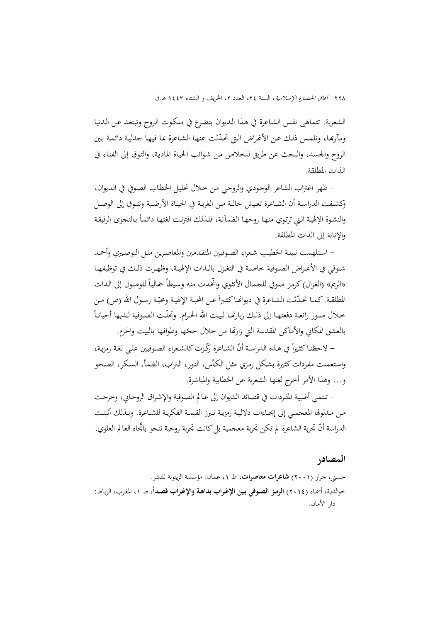الشعرية. تتماهى نفـس الشـاعرة في هـذا الـديوان بتضـرع في ملكـوت الـروح وتبتعـد عـن الـدنيا ومآرها، ونلمس ذلك عـن الأغـراض الـتي تحدّثت عنهـا الشـاعرة بمـا فيهـا جدلية دائمـة بـين الروح والجسد، والبحث عن طريق للخلاص مـن شـوائب الحيـاة الماديـة، والتـوق إلى الفنـاء في الذات المطلقة.

- ظهر اغتراب الشاعر الوجـودي والروحـي مـن خـلال تحليـل الخطـاب الصـوفي في الـديوان، وكشــفت الدراســة أن الشــاعرة تعــيش حالــة مــن الغربــة في الحيــاة الأرضــية وتتــوق إلى الوصــل والنشوة الإلهية التي ترتوي منهـا روحهـا الظمآنـة، فلذلك اقترنت لغتهـا دائمـاً بـالنجوى الرقيقـة والإنابة إلى الذات المطلقة.

- اسـتلهمت نبيلـة الخطيـب شـعراء الصـوفيين المتقـدمين والمعاصـرين مثـل البوصـيري وأحمـد شــوقي في الأغــراض الصــوفية خاصــة في التغــزل بالــذات الإلهيــة، وظهــرت ذلــك في توظيفهــا «الريم» (الغزال) كرمز صوفي للجمال الأنثوي واتخذت منه وسيطاً جمالياً للوصول إلى الذات المطلقـة. كمـا تحـدّثت الشـاعرة في ديوانهـا كثـيراً عـن المحبـة الإلهيـة ومحبّـة رسـول الله (ص) مـن  $\overline{a}$ خــلال صــور رائعــة دفعتهــا إلى ذلــك زيارēــا لبيــت االله الحــرام. وتجلّــت الصــوفية لــديها أحيانــا بالعشق المكاني والأماكن المقدسة التي زارتها من خلال حجّها وطوافها بالبيت والحرم.

– لاحظنا كثيراً في هـذه الدراسـة أنّ الشـاعرة رّكّـزت كالشـعراء الصـوفيين علـى لغـة رمزيـة، واسـتعملت مفـرداتكثـيرة بشـكل رمـزي مثـل الكـأس، النـور، الـتراب، الظمـأ، السـكر، الصـحو و... وهذا الأمر أخرج لغتها الشعرية عن الخطابية والمباشرة.

- تنتمـي أغلبيـة المفـردات في قصـائد الـديوان إلى عـالم الصـوفية والإشـراق الروحـاني، وخرجـت مــن مــدلولها المعجمــي إلى إيحــاءات دلاليــة رمزيــة تــبرز القيمــة الفكريــة للشــاعرة. وبــذلك أثبتــت الدراسة أنّ تجربة الشاعرة لم تكن تجربة معجمية بل كانت تجربة روحية تنحو باتجاه العالم العلوي.

#### **المصادر**

حسني، جرار (2001) **شاعرات معاصرات**، ط ،1 عمان: مؤسسة الزيتونة للنشر. ،**ً** ط ،1 المغـرب، الربـاط: خوالديـة، أسمـاء (2014) **الرمـز الصـوفي بـين الإغـراب بداهـة والإغـراب قصـدا** دار الأمان.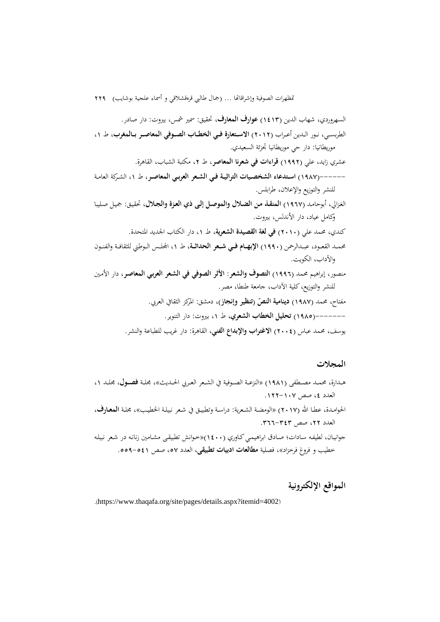السهروردي، شهاب الدين (1413) **عوارف المعارف**، تحقيق: سمير شمس، بيروت: دار صادر. الطربســي، نــور الــدين أعــراب (2012) **الاســتعارة فــي الخطــاب الصــوفي المعاصــر بــالمغرب**، ط ،1 موريطانيا: دار حي موريطانيا تجزئة السعيدي. عشري زايد، علي (1992) **قراءات في شعرنا المعاصر**، ط ،2 مكتبة الشباب، القاهرة. ------(1987) **اســتدعاء الشخصــيات التراثيــة فــي الشــعر العربــي المعاصــر**، ط ،1 الشــركة العامــة

للنشر والتوزيع والإعلان، طرابلس.

الغـزالي، أبوحامـد (1967) **المنقـذ مـن الضـلال والموصـل إلـى ذي العـزة والجـلال**، تحقيـق: جميـل صـليبا وكامل عياد، دار الأندلس، بيروت.

كندي، محمد علي (2010) **في لغة القصيدة الشعرية**، ط ،1 دار الكتاب الجديد المتحدة.

محمــد القعــود، عبــدالرحمن (1990) **الإبهــام فــي شــعر الحداثــة**، ط ،1 اجمللــس الــوطني للثقافــة والفنــون والآداب، الكويت.

منصور، إبراهيم محمد (1996) **التصوف والشعر: الأثر الصوفي في الشـعر العربـي المعاصـر**، دار الأمـين للنشر والتوزيع،كلية الآداب، جامعة طنطا، مصر.

**النص** مفتاح، محمد (1987) **(تنظير وإنجاز) دينامية** ، دمشق: المركز الثقافي العربي. **ّ**

-------(1985) **تحليل الخطاب الشعري**، ط ،1 بيروت: دار التنوير.

يوسف، محمد عباس (2004) **الاغتراب والإبداع الفني**، القاهرة: دار غريب للطباعة والنشر.

**المجلات** 

- هــدارة، محمــد مصــطفى (1981) «النزعــة الصــوفية في الشــعر العــربي الحــديث**»**، مجلــة **فصــول**، مجلــد ،1 العدد ،4 صص .122-107
- الحوامـدة، عطـا االله (2017) **«**الومضـة الشـعرية: دراسـة وتطبيـق في شـعر نبيلـة الخطيـب**»،** مجلـة **المعــارف**، العدد ٢٢، صص ٢٤٣-٣٦٦.
- جوانيـان، لطيفـه سـادات؛ صـادق ابراهيمـي كـاوري (١٤٠٠)«خـوانش تطبيقـی مشـامين زنانـه در شـعر نبيلـه خطيب و فروغ فرخزاد»، فصلية **مطالعات ادبيات تطبيقی**، العدد ،57 صص .559-541

**المواقع الإلکترونية** 

.(https://www.thaqafa.org/site/pages/details.aspx?itemid=4002)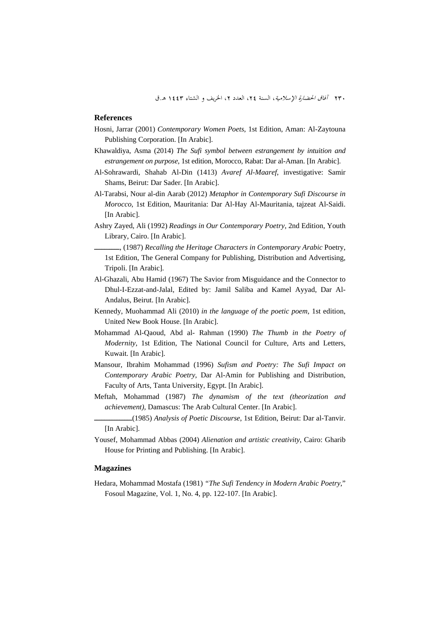#### **References**

- Hosni, Jarrar (2001) *Contemporary Women Poets*, 1st Edition, Aman: Al-Zaytouna Publishing Corporation. [In Arabic].
- Khawaldiya, Asma (2014) *The Sufi symbol between estrangement by intuition and estrangement on purpose*, 1st edition, Morocco, Rabat: Dar al-Aman. [In Arabic].
- Al-Sohrawardi, Shahab Al-Din (1413) *Avaref Al-Maaref*, investigative: Samir Shams, Beirut: Dar Sader. [In Arabic].
- Al-Tarabsi, Nour al-din Aarab (2012) *Metaphor in Contemporary Sufi Discourse in Morocco*, 1st Edition, Mauritania: Dar Al-Hay Al-Mauritania, tajzeat Al-Saidi. [In Arabic].
- Ashry Zayed, Ali (1992) *Readings in Our Contemporary Poetry*, 2nd Edition, Youth Library, Cairo. [In Arabic].
	- ــــــــــ,) 1987 (*Recalling the Heritage Characters in Contemporary Arabic* Poetry, 1st Edition, The General Company for Publishing, Distribution and Advertising, Tripoli. [In Arabic].
- Al-Ghazali, Abu Hamid (1967) The Savior from Misguidance and the Connector to Dhul-I-Ezzat-and-Jalal, Edited by: Jamil Saliba and Kamel Ayyad, Dar Al-Andalus, Beirut. [In Arabic].
- Kennedy, Muohammad Ali (2010) *in the language of the poetic poem*, 1st edition, United New Book House. [In Arabic].
- Mohammad Al-Qaoud, Abd al- Rahman (1990) *The Thumb in the Poetry of Modernity*, 1st Edition, The National Council for Culture, Arts and Letters, Kuwait. [In Arabic].
- Mansour, Ibrahim Mohammad (1996) *Sufism and Poetry: The Sufi Impact on Contemporary Arabic Poetry*, Dar Al-Amin for Publishing and Distribution, Faculty of Arts, Tanta University, Egypt. [In Arabic].
- Meftah, Mohammad (1987) *The dynamism of the text (theorization and achievement),* Damascus: The Arab Cultural Center. [In Arabic].
- ـــــــــــــــ)1985 (*Analysis of Poetic Discourse*, 1st Edition, Beirut: Dar al-Tanvir. [In Arabic].
- Yousef, Mohammad Abbas (2004) *Alienation and artistic creativity*, Cairo: Gharib House for Printing and Publishing. [In Arabic].

#### **Magazines**

Hedara, Mohammad Mostafa (1981) *"The Sufi Tendency in Modern Arabic Poetry*," Fosoul Magazine, Vol. 1, No. 4, pp. 122-107. [In Arabic].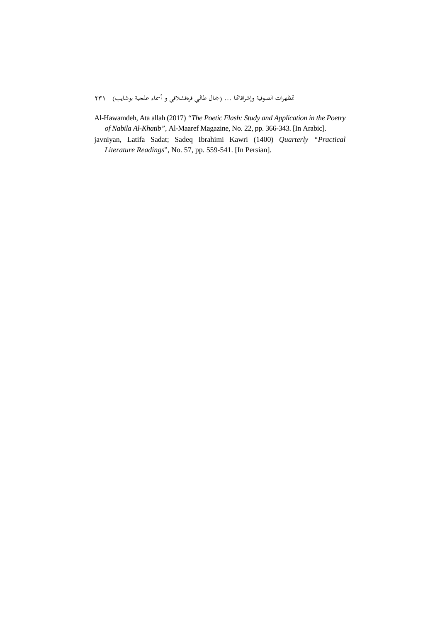- Al-Hawamdeh, Ata allah (2017) *"The Poetic Flash: Study and Application in the Poetry of Nabila Al-Khatib"*, Al-Maaref Magazine, No. 22, pp. 366-343. [In Arabic].
- javniyan, Latifa Sadat; Sadeq Ibrahimi Kawri (1400) *Quarterly "Practical Literature Readings*", No. 57, pp. 559-541. [In Persian].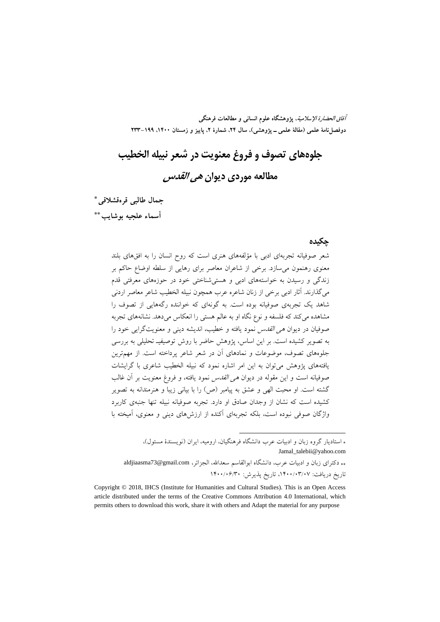**آفاق الحضارة الإسلامية، پژوهشگاه علوم انساني و مطالعات فرهنگي**  دوفصل نامهٔ علمی (مقالهٔ علمی ــ یژوهشی)، سال ۲۴، شمارهٔ ۲، پاییز و زمستان ۱۴۰۰، ۱۹۹–۲۳۳

**جلوههاي تصوف و فروغ معنويت در شعر نبيله الخطيب مطالعه موردي ديوان هي القدس** 

**جمال طالبي قرهقشلاقي**\*\*\* **أسماء علجيه بوشايب**††\*\*

#### **چكيده**

شعر صوفيانه تجربهاي ادبي با مؤلفههاي هنري است كه روح انسان را به افقهاي بلند معنوي رهنمون ميسازد. برخي از شاعران معاصر براي رهايي از سلطه اوضاع حاكم بر زندگي و رسيدن به خواستههاي ادبي و هستيشناختي خود در حوزههاي معرفتي قدم ميگذارند. آثار ادبي برخي از زنان شاعره عرب همچون نبيله الخطيب شاعر معاصر اردني شاهد يك تجربهي صوفيانه بوده است. به گونهاي كه خواننده رگههايي از تصوف را مشاهده ميكند كه فلسفه و نوع نگاه او به عالم هستي را انعكاس ميدهد. نشانههاي تجربه صوفيان در ديوان هي القدس نمود يافته و خطيب، انديشه ديني و معنويتگرايي خود را به تصوير كشيده است. بر اين اساس، پژوهش حاضر با روش توصيفيـ تحليلي به بررسي جلوههاي تصوف، موضوعات و نمادهاي آن در شعر شاعر پرداخته است. از مهمترين يافتههاي پژوهش ميتوان به اين امر اشاره نمود كه نبيله الخطيب شاعري با گرايشات صوفيانه است و اين مقوله در ديوان هي القدس نمود يافته، و فروغ معنويت بر آن غالب گشته است. او محبت الهي و عشق به پيامبر (ص) را با بياني زيبا و هنرمندانه به تصوير كشيده است كه نشان از وجدان صادق او دارد. تجربه صوفيانه نبيله تنها جنبهي كاربرد واژگان صوفي نبوده است، بلكه تجربهاي آكنده از ارزشهاي ديني و معنوي، آميخته با

 استاديار گروه زبان و ادبيات عرب دانشگاه فرهنگيان، اروميه، ايران (نويسندة مسئول)، Jamal\_talebii@yahoo.com دكتراي زبان و ادبيات عرب، دانشگاه ابوالقاسم سعداالله، الجزائر، com.gmail@73aldjiaasma

.

تاريخ دريافت: ١۴٠٠/٠٣/٠٧، تاريخ پذيرش: ١۴٠٠/٠۶/٣٠

Copyright © 2018, IHCS (Institute for Humanities and Cultural Studies). This is an Open Access article distributed under the terms of the Creative Commons Attribution 4.0 International, which permits others to download this work, share it with others and Adapt the material for any purpose